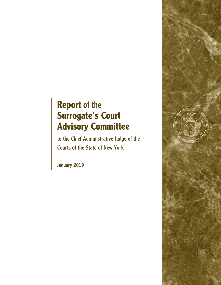# **Report** of the **Surrogate's Court Advisory Committee**

to the Chief Administrative Judge of the Courts of the State of New York

January 2019

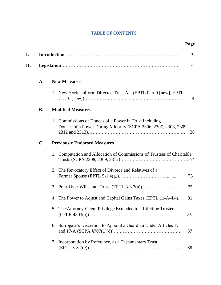## **TABLE OF CONTENTS**

| I. |                |                                                                                                                           | 3  |  |
|----|----------------|---------------------------------------------------------------------------------------------------------------------------|----|--|
| П. | $\overline{4}$ |                                                                                                                           |    |  |
|    | A.             | <b>New Measures</b>                                                                                                       |    |  |
|    |                | 1. New York Uniform Directed Trust Act (EPTL Part 9 [new], EPTL                                                           | 4  |  |
|    | <b>B.</b>      | <b>Modified Measures</b>                                                                                                  |    |  |
|    |                | 1. Commissions of Donees of a Power in Trust Including<br>Donees of a Power During Minority (SCPA 2306, 2307, 2308, 2309, | 28 |  |
|    | $\mathbf{C}$ . | <b>Previously Endorsed Measures</b>                                                                                       |    |  |
|    |                | 1. Computation and Allocation of Commissions of Trustees of Charitable                                                    |    |  |
|    |                | 2. The Revocatory Effect of Divorce and Relatives of a                                                                    | 73 |  |
|    |                |                                                                                                                           | 75 |  |
|    |                | 4. The Power to Adjust and Capital Gains Taxes (EPTL 11-A-4.4).                                                           | 81 |  |
|    |                | 5. The Attorney-Client Privilege Extended to a Lifetime Trustee                                                           | 85 |  |
|    |                | 6. Surrogate's Discretion to Appoint a Guardian Under Articles 17                                                         | 87 |  |
|    |                | 7. Incorporation by Reference, as a Testamentary Trust                                                                    | 88 |  |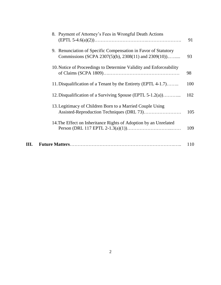|    | 8. Payment of Attorney's Fees in Wrongful Death Actions                                                                | 91  |
|----|------------------------------------------------------------------------------------------------------------------------|-----|
|    | 9. Renunciation of Specific Compensation in Favor of Statutory<br>Commissions (SCPA 2307(5)(b), 2308(11) and 2309(10)) | 93  |
|    | 10. Notice of Proceedings to Determine Validity and Enforceability                                                     | 98  |
|    | 11. Disqualification of a Tenant by the Entirety (EPTL 4-1.7)                                                          | 100 |
|    | 12. Disqualification of a Surviving Spouse (EPTL 5-1.2(a))                                                             | 102 |
|    | 13. Legitimacy of Children Born to a Married Couple Using                                                              | 105 |
|    | 14. The Effect on Inheritance Rights of Adoption by an Unrelated                                                       | 109 |
| Ш. |                                                                                                                        | 110 |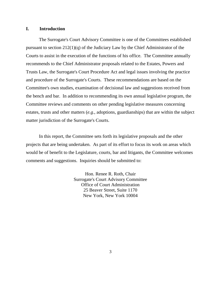## **I. Introduction**

The Surrogate's Court Advisory Committee is one of the Committees established pursuant to section 212(1)(q) of the Judiciary Law by the Chief Administrator of the Courts to assist in the execution of the functions of his office. The Committee annually recommends to the Chief Administrator proposals related to the Estates, Powers and Trusts Law, the Surrogate's Court Procedure Act and legal issues involving the practice and procedure of the Surrogate's Courts. These recommendations are based on the Committee's own studies, examination of decisional law and suggestions received from the bench and bar. In addition to recommending its own annual legislative program, the Committee reviews and comments on other pending legislative measures concerning estates, trusts and other matters (*e.g*., adoptions, guardianships) that are within the subject matter jurisdiction of the Surrogate's Courts.

In this report, the Committee sets forth its legislative proposals and the other projects that are being undertaken. As part of its effort to focus its work on areas which would be of benefit to the Legislature, courts, bar and litigants, the Committee welcomes comments and suggestions. Inquiries should be submitted to:

> Hon. Renee R. Roth, Chair Surrogate's Court Advisory Committee Office of Court Administration 25 Beaver Street, Suite 1170 New York, New York 10004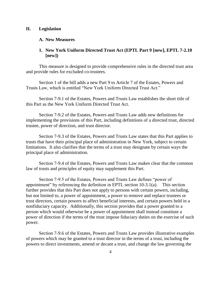## **II. Legislation**

## **A. New Measures**

## **1. New York Uniform Directed Trust Act (EPTL Part 9 [new], EPTL 7-2.10 [new])**

This measure is designed to provide comprehensive rules in the directed trust area and provide rules for excluded co-trustees.

Section 1 of the bill adds a new Part 9 to Article 7 of the Estates, Powers and Trusts Law, which is entitled "New York Uniform Directed Trust Act."

Section 7-9.1 of the Estates, Powers and Trusts Law establishes the short title of this Part as the New York Uniform Directed Trust Act.

Section 7-9.2 of the Estates, Powers and Trusts Law adds new definitions for implementing the provisions of this Part, including definitions of a directed trust, directed trustee, power of direction, and trust director.

Section 7-9.3 of the Estates, Powers and Trusts Law states that this Part applies to trusts that have their principal place of administration in New York, subject to certain limitations. It also clarifies that the terms of a trust may designate by certain ways the principal place of administration.

Section 7-9.4 of the Estates, Powers and Trusts Law makes clear that the common law of trusts and principles of equity may supplement this Part.

Section 7-9.5 of the Estates, Powers and Trusts Law defines "power of appointment" by referencing the definition in EPTL section 10-3.1(a). This section further provides that this Part does not apply to persons with certain powers, including, but not limited to, a power of appointment, a power to remove and replace trustees or trust directors, certain powers to affect beneficial interests, and certain powers held in a nonfiduciary capacity. Additionally, this section provides that a power granted to a person which would otherwise be a power of appointment shall instead constitute a power of direction if the terms of the trust impose fiduciary duties on the exercise of such power.

Section 7-9.6 of the Estates, Powers and Trusts Law provides illustrative examples of powers which may be granted to a trust director in the terms of a trust, including the powers to direct investments, amend or decant a trust, and change the law governing the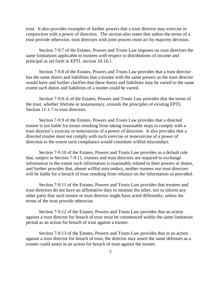trust. It also provides examples of further powers that a trust director may exercise in conjunction with a power of direction. The section also states that unless the terms of a trust provide otherwise, trust directors with joint powers must act by majority decision.

Section 7-9.7 of the Estates, Powers and Trusts Law imposes on trust directors the same limitations applicable to trustees with respect to distributions of income and principal as set forth in EPTL section 10-10.1.

Section 7-9.8 of the Estates, Powers and Trusts Law provides that a trust director has the same duties and liabilities that a trustee with the same powers as the trust director would have and further clarifies that these duties and liabilities may be varied to the same extent such duties and liabilities of a trustee could be varied.

Section 7-9.8-A of the Estates, Powers and Trusts Law provides that the terms of the trust, whether lifetime or testamentary, extends the principles of existing EPTL Section 11-1.7 to trust directors.

Section 7-9.9 of the Estates, Powers and Trusts Law provides that a directed trustee is not liable for losses resulting from taking reasonable steps to comply with a trust director's exercise or nonexercise of a power of direction. It also provides that a directed trustee must not comply with such exercise or nonexercise of a power of direction to the extent such compliance would constitute willful misconduct.

Section 7-9.10 of the Estates, Powers and Trusts Law provides as a default rule that, subject to Section 7-9.11, trustees and trust directors are required to exchange information to the extent such information is reasonably related to their powers or duties, and further provides that, absent willful misconduct, neither trustees nor trust directors will be liable for a breach of trust resulting from reliance on the information so provided.

Section 7-9.11 of the Estates, Powers and Trusts Law provides that trustees and trust directors do not have an affirmative duty to monitor the other, nor to inform any other party that such trustee or trust director might have acted differently, unless the terms of the trust provide otherwise.

Section 7-9.12 of the Estates, Powers and Trusts Law provides that an action against a trust director for breach of trust must be commenced within the same limitation period as an action for breach of trust against a trustee.

Section 7-9.13 of the Estates, Powers and Trusts Law provides that in an action against a trust director for breach of trust, the director may assert the same defenses as a trustee could assert in an action for breach of trust against the trustee.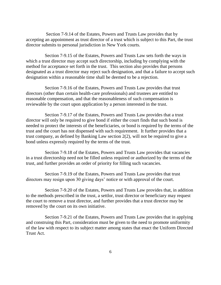Section 7-9.14 of the Estates, Powers and Trusts Law provides that by accepting an appointment as trust director of a trust which is subject to this Part, the trust director submits to personal jurisdiction in New York courts.

 Section 7-9.15 of the Estates, Powers and Trusts Law sets forth the ways in which a trust director may accept such directorship, including by complying with the method for acceptance set forth in the trust. This section also provides that persons designated as a trust director may reject such designation, and that a failure to accept such designation within a reasonable time shall be deemed to be a rejection.

 Section 7-9.16 of the Estates, Powers and Trusts Law provides that trust directors (other than certain health-care professionals) and trustees are entitled to reasonable compensation, and that the reasonableness of such compensation is reviewable by the court upon application by a person interested in the trust.

 Section 7-9.17 of the Estates, Powers and Trusts Law provides that a trust director will only be required to give bond if either the court finds that such bond is needed to protect the interests of the beneficiaries, or bond is required by the terms of the trust and the court has not dispensed with such requirement. It further provides that a trust company, as defined by Banking Law section 2(2), will not be required to give a bond unless expressly required by the terms of the trust.

 Section 7-9.18 of the Estates, Powers and Trusts Law provides that vacancies in a trust directorship need not be filled unless required or authorized by the terms of the trust, and further provides an order of priority for filling such vacancies.

 Section 7-9.19 of the Estates, Powers and Trusts Law provides that trust directors may resign upon 30 giving days' notice or with approval of the court.

 Section 7-9.20 of the Estates, Powers and Trusts Law provides that, in addition to the methods prescribed in the trust, a settlor, trust director or beneficiary may request the court to remove a trust director, and further provides that a trust director may be removed by the court on its own initiative.

 Section 7-9.21 of the Estates, Powers and Trusts Law provides that in applying and construing this Part, consideration must be given to the need to promote uniformity of the law with respect to its subject matter among states that enact the Uniform Directed Trust Act.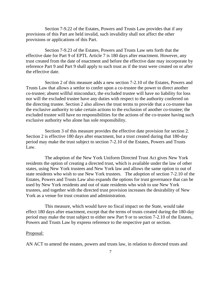Section 7-9.22 of the Estates, Powers and Trusts Law provides that if any provisions of this Part are held invalid, such invalidity shall not affect the other provisions or applications of this Part.

 Section 7-9.23 of the Estates, Powers and Trusts Law sets forth that the effective date for Part 9 of EPTL Article 7 is 180 days after enactment. However, any trust created from the date of enactment and before the effective date may incorporate by reference Part 9 and Part 9 shall apply to such trust as if the trust were created on or after the effective date.

 Section 2 of this measure adds a new section 7-2.10 of the Estates, Powers and Trusts Law that allows a settlor to confer upon a co-trustee the power to direct another co-trustee; absent willful misconduct, the excluded trustee will have no liability for loss nor will the excluded trustee have any duties with respect to the authority conferred on the directing trustee. Section 2 also allows the trust terms to provide that a co-trustee has the exclusive authority to take certain actions to the exclusion of another co-trustee; the excluded trustee will have no responsibilities for the actions of the co-trustee having such exclusive authority who alone has sole responsibility.

 Sectiom 3 of this measure provides the effective date provision for section 2. Section 2 is effective 180 days after enactment, but a trust created during that 180-day period may make the trust subject to section 7-2.10 of the Estates, Powers and Trusts Law.

 The adoption of the New York Uniform Directed Trust Act gives New York residents the option of creating a directed trust, which is available under the law of other states, using New York trustees and New York law and allows the same option to out of state residents who wish to use New York trustees. The adoption of section 7-2.10 of the Estates, Powers and Trusts Law also expands the options for trust governance that can be used by New York residents and out of state residents who wish to use New York trustees, and together with the directed trust provision increases the desirability of New York as a venue for trust creation and administration.

 This measure, which would have no fiscal impact on the State, would take effect 180 days after enactment, except that the terms of trusts created during the 180-day period may make the trust subject to either new Part 9 or to section 7-2.10 of the Estates, Powers and Trusts Law by express reference to the respective part or section.

#### Proposal:

AN ACT to amend the estates, powers and trusts law, in relation to directed trusts and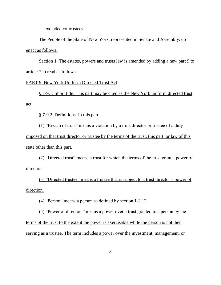excluded co-trustees

The People of the State of New York, represented in Senate and Assembly, do enact as follows:

Section 1. The estates, powers and trusts law is amended by adding a new part 9 to article 7 to read as follows:

## PART 9. New York Uniform Directed Trust Act

§ 7-9.1. Short title. This part may be cited as the New York uniform directed trust act.

§ 7-9.2. Definitions. In this part:

(1) "Breach of trust" means a violation by a trust director or trustee of a duty imposed on that trust director or trustee by the terms of the trust, this part, or law of this state other than this part.

(2) "Directed trust" means a trust for which the terms of the trust grant a power of direction.

(3) "Directed trustee" means a trustee that is subject to a trust director's power of direction.

(4) "Person" means a person as defined by section 1-2.12.

(5) "Power of direction" means a power over a trust granted to a person by the terms of the trust to the extent the power is exercisable while the person is not then serving as a trustee. The term includes a power over the investment, management, or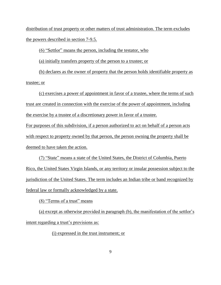distribution of trust property or other matters of trust administration. The term excludes the powers described in section 7-9.5.

(6) "Settlor" means the person, including the testator, who

(a) initially transfers property of the person to a trustee; or

(b) declares as the owner of property that the person holds identifiable property as trustee; or

(c) exercises a power of appointment in favor of a trustee, where the terms of such trust are created in connection with the exercise of the power of appointment, including the exercise by a trustee of a discretionary power in favor of a trustee.

For purposes of this subdivision, if a person authorized to act on behalf of a person acts with respect to property owned by that person, the person owning the property shall be deemed to have taken the action.

(7) "State" means a state of the United States, the District of Columbia, Puerto Rico, the United States Virgin Islands, or any territory or insular possession subject to the jurisdiction of the United States. The term includes an Indian tribe or band recognized by federal law or formally acknowledged by a state.

(8) "Terms of a trust" means

(a) except as otherwise provided in paragraph (b), the manifestation of the settlor's intent regarding a trust's provisions as:

(i) expressed in the trust instrument; or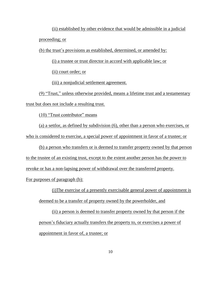(ii) established by other evidence that would be admissible in a judicial proceeding; or

(b) the trust's provisions as established, determined, or amended by:

(i) a trustee or trust director in accord with applicable law; or

(ii) court order; or

(iii) a nonjudicial settlement agreement.

(9) "Trust," unless otherwise provided, means a lifetime trust and a testamentary trust but does not include a resulting trust.

(10) "Trust contributor" means

(a) a settlor, as defined by subdivision (6), other than a person who exercises, or who is considered to exercise, a special power of appointment in favor of a trustee; or

(b) a person who transfers or is deemed to transfer property owned by that person to the trustee of an existing trust, except to the extent another person has the power to revoke or has a non-lapsing power of withdrawal over the transferred property. For purposes of paragraph (b):

(i)The exercise of a presently exercisable general power of appointment is deemed to be a transfer of property owned by the powerholder, and

(ii) a person is deemed to transfer property owned by that person if the person's fiduciary actually transfers the property to, or exercises a power of appointment in favor of, a trustee; or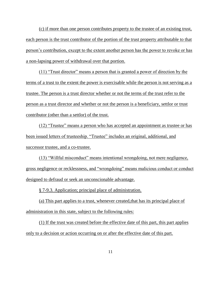(c) if more than one person contributes property to the trustee of an existing trust, each person is the trust contributor of the portion of the trust property attributable to that person's contribution, except to the extent another person has the power to revoke or has a non-lapsing power of withdrawal over that portion.

(11) "Trust director" means a person that is granted a power of direction by the terms of a trust to the extent the power is exercisable while the person is not serving as a trustee. The person is a trust director whether or not the terms of the trust refer to the person as a trust director and whether or not the person is a beneficiary, settlor or trust contributor (other than a settlor) of the trust.

(12) "Trustee" means a person who has accepted an appointment as trustee or has been issued letters of trusteeship. "Trustee" includes an original, additional, and successor trustee, and a co-trustee.

(13) "Willful misconduct" means intentional wrongdoing, not mere negligence, gross negligence or recklessness, and "wrongdoing" means malicious conduct or conduct designed to defraud or seek an unconscionable advantage.

§ 7-9.3. Application; principal place of administration.

(a) This part applies to a trust, whenever created,that has its principal place of administration in this state, subject to the following rules:

(1) If the trust was created before the effective date of this part, this part applies only to a decision or action occurring on or after the effective date of this part.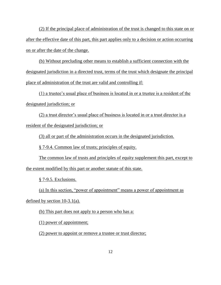(2) If the principal place of administration of the trust is changed to this state on or after the effective date of this part, this part applies only to a decision or action occurring on or after the date of the change.

(b) Without precluding other means to establish a sufficient connection with the designated jurisdiction in a directed trust, terms of the trust which designate the principal place of administration of the trust are valid and controlling if:

(1) a trustee's usual place of business is located in or a trustee is a resident of the designated jurisdiction; or

(2) a trust director's usual place of business is located in or a trust director is a resident of the designated jurisdiction; or

(3) all or part of the administration occurs in the designated jurisdiction.

§ 7-9.4. Common law of trusts; principles of equity.

The common law of trusts and principles of equity supplement this part, except to the extent modified by this part or another statute of this state.

§ 7-9.5. Exclusions.

(a) In this section, "power of appointment" means a power of appointment as

defined by section 10-3.1(a).

(b) This part does not apply to a person who has a:

(1) power of appointment;

(2) power to appoint or remove a trustee or trust director;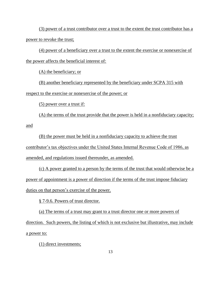(3) power of a trust contributor over a trust to the extent the trust contributor has a power to revoke the trust;

(4) power of a beneficiary over a trust to the extent the exercise or nonexercise of the power affects the beneficial interest of:

(A) the beneficiary; or

(B) another beneficiary represented by the beneficiary under SCPA 315 with respect to the exercise or nonexercise of the power; or

(5) power over a trust if:

(A) the terms of the trust provide that the power is held in a nonfiduciary capacity; and

(B) the power must be held in a nonfiduciary capacity to achieve the trust contributor's tax objectives under the United States Internal Revenue Code of 1986, as amended, and regulations issued thereunder, as amended.

(c) A power granted to a person by the terms of the trust that would otherwise be a power of appointment is a power of direction if the terms of the trust impose fiduciary duties on that person's exercise of the power.

§ 7-9.6. Powers of trust director.

(a) The terms of a trust may grant to a trust director one or more powers of direction. Such powers, the listing of which is not exclusive but illustrative, may include a power to:

(1) direct investments;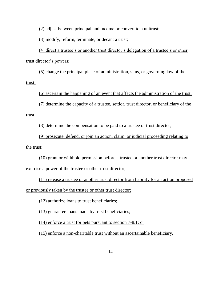(2) adjust between principal and income or convert to a unitrust;

(3) modify, reform, terminate, or decant a trust;

(4) direct a trustee's or another trust director's delegation of a trustee's or other trust director's powers;

(5) change the principal place of administration, situs, or governing law of the trust;

(6) ascertain the happening of an event that affects the administration of the trust;

(7) determine the capacity of a trustee, settlor, trust director, or beneficiary of the

trust;

(8) determine the compensation to be paid to a trustee or trust director;

(9) prosecute, defend, or join an action, claim, or judicial proceeding relating to the trust;

(10) grant or withhold permission before a trustee or another trust director may exercise a power of the trustee or other trust director;

(11) release a trustee or another trust director from liability for an action proposed or previously taken by the trustee or other trust director;

(12) authorize loans to trust beneficiaries;

(13) guarantee loans made by trust beneficiaries;

(14) enforce a trust for pets pursuant to section 7-8.1; or

(15) enforce a non-charitable trust without an ascertainable beneficiary.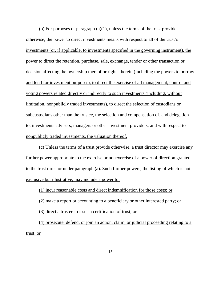(b) For purposes of paragraph  $(a)(1)$ , unless the terms of the trust provide otherwise, the power to direct investments means with respect to all of the trust's investments (or, if applicable, to investments specified in the governing instrument), the power to direct the retention, purchase, sale, exchange, tender or other transaction or decision affecting the ownership thereof or rights therein (including the powers to borrow and lend for investment purposes), to direct the exercise of all management, control and voting powers related directly or indirectly to such investments (including, without limitation, nonpublicly traded investments), to direct the selection of custodians or subcustodians other than the trustee, the selection and compensation of, and delegation to, investments advisers, managers or other investment providers, and with respect to nonpublicly traded investments, the valuation thereof.

(c) Unless the terms of a trust provide otherwise, a trust director may exercise any further power appropriate to the exercise or nonexercise of a power of direction granted to the trust director under paragraph (a). Such further powers, the listing of which is not exclusive but illustrative, may include a power to:

(1) incur reasonable costs and direct indemnification for those costs; or

(2) make a report or accounting to a beneficiary or other interested party; or

(3) direct a trustee to issue a certification of trust; or

(4) prosecute, defend, or join an action, claim, or judicial proceeding relating to a trust; or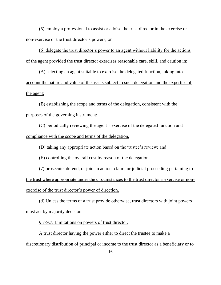(5) employ a professional to assist or advise the trust director in the exercise or non-exercise or the trust director's powers; or

(6) delegate the trust director's power to an agent without liability for the actions of the agent provided the trust director exercises reasonable care, skill, and caution in:

(A) selecting an agent suitable to exercise the delegated function, taking into account the nature and value of the assets subject to such delegation and the expertise of the agent;

(B) establishing the scope and terms of the delegation, consistent with the purposes of the governing instrument;

(C) periodically reviewing the agent's exercise of the delegated function and compliance with the scope and terms of the delegation.

(D) taking any appropriate action based on the trustee's review; and

(E) controlling the overall cost by reason of the delegation.

(7) prosecute, defend, or join an action, claim, or judicial proceeding pertaining to the trust where appropriate under the circumstances to the trust director's exercise or nonexercise of the trust director's power of direction.

(d) Unless the terms of a trust provide otherwise, trust directors with joint powers must act by majority decision.

§ 7-9.7. Limitations on powers of trust director.

A trust director having the power either to direct the trustee to make a discretionary distribution of principal or income to the trust director as a beneficiary or to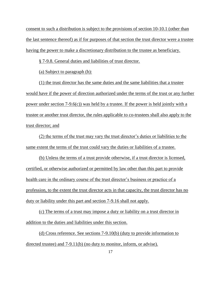consent to such a distribution is subject to the provisions of section 10-10.1 (other than the last sentence thereof) as if for purposes of that section the trust director were a trustee having the power to make a discretionary distribution to the trustee as beneficiary.

§ 7-9.8. General duties and liabilities of trust director.

(a) Subject to paragraph (b):

(1) the trust director has the same duties and the same liabilities that a trustee would have if the power of direction authorized under the terms of the trust or any further power under section 7-9.6(c)) was held by a trustee. If the power is held jointly with a trustee or another trust director, the rules applicable to co-trustees shall also apply to the trust director; and

(2) the terms of the trust may vary the trust director's duties or liabilities to the same extent the terms of the trust could vary the duties or liabilities of a trustee.

(b) Unless the terms of a trust provide otherwise, if a trust director is licensed, certified, or otherwise authorized or permitted by law other than this part to provide health care in the ordinary course of the trust director's business or practice of a profession, to the extent the trust director acts in that capacity, the trust director has no duty or liability under this part and section 7-9.16 shall not apply.

(c) The terms of a trust may impose a duty or liability on a trust director in addition to the duties and liabilities under this section.

(d) Cross reference. See sections 7-9.10(b) (duty to provide information to directed trustee) and 7-9.11(b) (no duty to monitor, inform, or advise).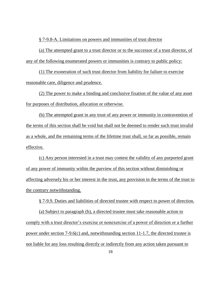§ 7-9.8-A. Limitations on powers and immunities of trust director

(a) The attempted grant to a trust director or to the successor of a trust director, of any of the following enumerated powers or immunities is contrary to public policy:

(1) The exoneration of such trust director from liability for failure to exercise reasonable care, diligence and prudence.

(2) The power to make a binding and conclusive fixation of the value of any asset for purposes of distribution, allocation or otherwise.

(b) The attempted grant in any trust of any power or immunity in contravention of the terms of this section shall be void but shall not be deemed to render such trust invalid as a whole, and the remaining terms of the lifetime trust shall, so far as possible, remain effective.

(c) Any person interested in a trust may contest the validity of any purported grant of any power of immunity within the purview of this section without diminishing or affecting adversely his or her interest in the trust, any provision in the terms of the trust to the contrary notwithstanding.

§ 7-9.9. Duties and liabilities of directed trustee with respect to power of direction.

(a) Subject to paragraph (b), a directed trustee must take reasonable action to comply with a trust director's exercise or nonexercise of a power of direction or a further power under section 7-9.6(c) and, notwithstanding section 11-1.7, the directed trustee is not liable for any loss resulting directly or indirectly from any action taken pursuant to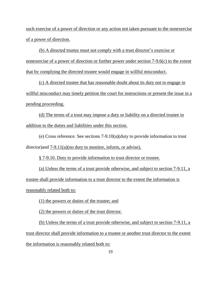such exercise of a power of direction or any action not taken pursuant to the nonexercise of a power of direction.

(b) A directed trustee must not comply with a trust director's exercise or nonexercise of a power of direction or further power under section 7-9.6(c) to the extent that by complying the directed trustee would engage in willful misconduct.

(c) A directed trustee that has reasonable doubt about its duty not to engage in willful misconduct may timely petition the court for instructions or present the issue in a pending proceeding.

(d) The terms of a trust may impose a duty or liability on a directed trustee in addition to the duties and liabilities under this section.

(e) Cross reference. See sections 7-9.10(a)(duty to provide information to trust director)and 7-9.11(a)(no duty to monitor, inform, or advise).

§ 7-9.10. Duty to provide information to trust director or trustee.

(a) Unless the terms of a trust provide otherwise, and subject to section 7-9.11, a trustee shall provide information to a trust director to the extent the information is reasonably related both to:

(1) the powers or duties of the trustee; and

(2) the powers or duties of the trust director.

(b) Unless the terms of a trust provide otherwise, and subject to section 7-9.11, a trust director shall provide information to a trustee or another trust director to the extent the information is reasonably related both to: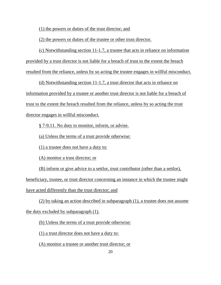(1) the powers or duties of the trust director; and

(2) the powers or duties of the trustee or other trust director.

(c) Notwithstanding section 11-1.7, a trustee that acts in reliance on information provided by a trust director is not liable for a breach of trust to the extent the breach resulted from the reliance, unless by so acting the trustee engages in willful misconduct.

(d) Notwithstanding section 11-1.7, a trust director that acts in reliance on information provided by a trustee or another trust director is not liable for a breach of trust to the extent the breach resulted from the reliance, unless by so acting the trust director engages in willful misconduct.

§ 7-9.11. No duty to monitor, inform, or advise.

(a) Unless the terms of a trust provide otherwise:

(1) a trustee does not have a duty to:

(A) monitor a trust director; or

(B) inform or give advice to a settlor, trust contributor (other than a settlor),

beneficiary, trustee, or trust director concerning an instance in which the trustee might have acted differently than the trust director; and

(2) by taking an action described in subparagraph (1), a trustee does not assume the duty excluded by subparagraph (1).

(b) Unless the terms of a trust provide otherwise:

(1) a trust director does not have a duty to:

(A) monitor a trustee or another trust director; or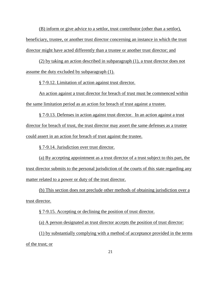(B) inform or give advice to a settlor, trust contributor (other than a settlor), beneficiary, trustee, or another trust director concerning an instance in which the trust director might have acted differently than a trustee or another trust director; and

(2) by taking an action described in subparagraph (1), a trust director does not assume the duty excluded by subparagraph (1).

§ 7-9.12. Limitation of action against trust director.

An action against a trust director for breach of trust must be commenced within the same limitation period as an action for breach of trust against a trustee.

§ 7-9.13. Defenses in action against trust director. In an action against a trust director for breach of trust, the trust director may assert the same defenses as a trustee could assert in an action for breach of trust against the trustee.

§ 7-9.14. Jurisdiction over trust director.

(a) By accepting appointment as a trust director of a trust subject to this part, the trust director submits to the personal jurisdiction of the courts of this state regarding any matter related to a power or duty of the trust director.

(b) This section does not preclude other methods of obtaining jurisdiction over a trust director.

§ 7-9.15. Accepting or declining the position of trust director.

(a) A person designated as trust director accepts the position of trust director:

(1) by substantially complying with a method of acceptance provided in the terms of the trust; or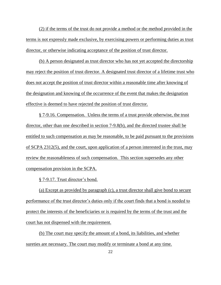(2) if the terms of the trust do not provide a method or the method provided in the terms is not expressly made exclusive, by exercising powers or performing duties as trust director, or otherwise indicating acceptance of the position of trust director.

(b) A person designated as trust director who has not yet accepted the directorship may reject the position of trust director. A designated trust director of a lifetime trust who does not accept the position of trust director within a reasonable time after knowing of the designation and knowing of the occurrence of the event that makes the designation effective is deemed to have rejected the position of trust director.

§ 7-9.16. Compensation. Unless the terms of a trust provide otherwise, the trust director, other than one described in section 7-9.8(b), and the directed trustee shall be entitled to such compensation as may be reasonable, to be paid pursuant to the provisions of SCPA 2312(5), and the court, upon application of a person interested in the trust, may review the reasonableness of such compensation. This section supersedes any other compensation provision in the SCPA.

§ 7-9.17. Trust director's bond.

(a) Except as provided by paragraph (c), a trust director shall give bond to secure performance of the trust director's duties only if the court finds that a bond is needed to protect the interests of the beneficiaries or is required by the terms of the trust and the court has not dispensed with the requirement.

(b) The court may specify the amount of a bond, its liabilities, and whether sureties are necessary. The court may modify or terminate a bond at any time.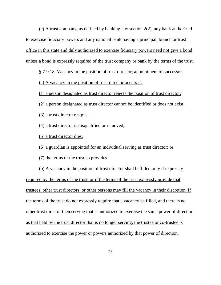(c) A trust company, as defined by banking law section 2(2), any bank authorized to exercise fiduciary powers and any national bank having a principal, branch or trust office in this state and duly authorized to exercise fiduciary powers need not give a bond unless a bond is expressly required of the trust company or bank by the terms of the trust.

§ 7-9.18. Vacancy in the position of trust director; appointment of successor.

(a) A vacancy in the position of trust director occurs if:

(1) a person designated as trust director rejects the position of trust director;

(2) a person designated as trust director cannot be identified or does not exist;

(3) a trust director resigns;

(4) a trust director is disqualified or removed;

(5) a trust director dies;

(6) a guardian is appointed for an individual serving as trust director; or

(7) the terms of the trust so provides.

(b) A vacancy in the position of trust director shall be filled only if expressly required by the terms of the trust, or if the terms of the trust expressly provide that trustees, other trust directors, or other persons may fill the vacancy in their discretion. If the terms of the trust do not expressly require that a vacancy be filled, and there is no other trust director then serving that is authorized to exercise the same power of direction as that held by the trust director that is no longer serving, the trustee or co-trustee is authorized to exercise the power or powers authorized by that power of direction.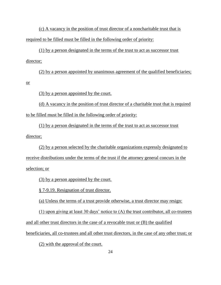(c) A vacancy in the position of trust director of a noncharitable trust that is required to be filled must be filled in the following order of priority:

(1) by a person designated in the terms of the trust to act as successor trust director;

(2) by a person appointed by unanimous agreement of the qualified beneficiaries; or

(3) by a person appointed by the court.

(d) A vacancy in the position of trust director of a charitable trust that is required to be filled must be filled in the following order of priority:

(1) by a person designated in the terms of the trust to act as successor trust director;

(2) by a person selected by the charitable organizations expressly designated to receive distributions under the terms of the trust if the attorney general concurs in the selection; or

(3) by a person appointed by the court.

§ 7-9.19. Resignation of trust director.

(a) Unless the terms of a trust provide otherwise, a trust director may resign:

(1) upon giving at least 30 days' notice to (A) the trust contributor, all co-trustees and all other trust directors in the case of a revocable trust or (B) the qualified

beneficiaries, all co-trustees and all other trust directors, in the case of any other trust; or

(2) with the approval of the court.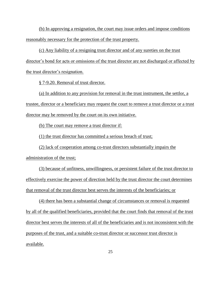(b) In approving a resignation, the court may issue orders and impose conditions reasonably necessary for the protection of the trust property.

(c) Any liability of a resigning trust director and of any sureties on the trust director's bond for acts or omissions of the trust director are not discharged or affected by the trust director's resignation.

§ 7-9.20. Removal of trust director.

(a) In addition to any provision for removal in the trust instrument, the settlor, a trustee, director or a beneficiary may request the court to remove a trust director or a trust director may be removed by the court on its own initiative.

(b) The court may remove a trust director if:

(1) the trust director has committed a serious breach of trust;

(2) lack of cooperation among co-trust directors substantially impairs the administration of the trust;

(3) because of unfitness, unwillingness, or persistent failure of the trust director to effectively exercise the power of direction held by the trust director the court determines that removal of the trust director best serves the interests of the beneficiaries; or

(4) there has been a substantial change of circumstances or removal is requested by all of the qualified beneficiaries, provided that the court finds that removal of the trust director best serves the interests of all of the beneficiaries and is not inconsistent with the purposes of the trust, and a suitable co-trust director or successor trust director is available.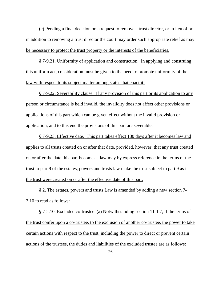(c) Pending a final decision on a request to remove a trust director, or in lieu of or in addition to removing a trust director the court may order such appropriate relief as may be necessary to protect the trust property or the interests of the beneficiaries.

§ 7-9.21. Uniformity of application and construction. In applying and construing this uniform act, consideration must be given to the need to promote uniformity of the law with respect to its subject matter among states that enact it.

§ 7-9.22. Severability clause. If any provision of this part or its application to any person or circumstance is held invalid, the invalidity does not affect other provisions or applications of this part which can be given effect without the invalid provision or application, and to this end the provisions of this part are severable.

§ 7-9.23. Effective date. This part takes effect 180 days after it becomes law and applies to all trusts created on or after that date, provided, however, that any trust created on or after the date this part becomes a law may by express reference in the terms of the trust to part 9 of the estates, powers and trusts law make the trust subject to part 9 as if the trust were created on or after the effective date of this part.

§ 2. The estates, powers and trusts Law is amended by adding a new section 7- 2.10 to read as follows:

§ 7-2.10. Excluded co-trustee. (a) Notwithstanding section 11-1.7, if the terms of the trust confer upon a co-trustee, to the exclusion of another co-trustee, the power to take certain actions with respect to the trust, including the power to direct or prevent certain actions of the trustees, the duties and liabilities of the excluded trustee are as follows: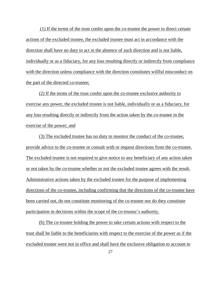(1) If the terms of the trust confer upon the co-trustee the power to direct certain actions of the excluded trustee, the excluded trustee must act in accordance with the direction shall have no duty to act in the absence of such direction and is not liable, individually or as a fiduciary, for any loss resulting directly or indirectly from compliance with the direction unless compliance with the direction constitutes willful misconduct on the part of the directed co-trustee;

(2) If the terms of the trust confer upon the co-trustee exclusive authority to exercise any power, the excluded trustee is not liable, individually or as a fiduciary, for any loss resulting directly or indirectly from the action taken by the co-trustee in the exercise of the power; and

(3) The excluded trustee has no duty to monitor the conduct of the co-trustee, provide advice to the co-trustee or consult with or request directions from the co-trustee. The excluded trustee is not required to give notice to any beneficiary of any action taken or not taken by the co-trustee whether or not the excluded trustee agrees with the result. Administrative actions taken by the excluded trustee for the purpose of implementing directions of the co-trustee, including confirming that the directions of the co-trustee have been carried out, do not constitute monitoring of the co-trustee nor do they constitute participation in decisions within the scope of the co-trustee's authority.

(b) The co-trustee holding the power to take certain actions with respect to the trust shall be liable to the beneficiaries with respect to the exercise of the power as if the excluded trustee were not in office and shall have the exclusive obligation to account to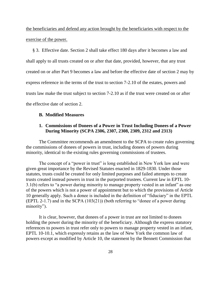the beneficiaries and defend any action brought by the beneficiaries with respect to the exercise of the power.

§ 3. Effective date. Section 2 shall take effect 180 days after it becomes a law and shall apply to all trusts created on or after that date, provided, however, that any trust created on or after Part 9 becomes a law and before the effective date of section 2 may by express reference in the terms of the trust to section 7-2.10 of the estates, powers and trusts law make the trust subject to section 7-2.10 as if the trust were created on or after the effective date of section 2.

## **B. Modified Measures**

## **1. Commissions of Donees of a Power in Trust Including Donees of a Power During Minority (SCPA 2306, 2307, 2308, 2309, 2312 and 2313)**

The Committee recommends an amendment to the SCPA to create rules governing the commissions of donees of powers in trust, including donees of powers during minority, identical to the existing rules governing commissions of trustees.

The concept of a "power in trust" is long established in New York law and were given great importance by the Revised Statutes enacted in 1829-1830. Under those statutes, trusts could be created for only limited purposes and failed attempts to create trusts created instead powers in trust in the purported trustees. Current law in EPTL 10- 3.1(b) refers to "a power during minority to manage property vested in an infant" as one of the powers which is not a power of appointment but to which the provisions of Article 10 generally apply. Such a donee is included in the definition of "fiduciary" in the EPTL (EPTL 2-1.7) and in the SCPA (103(21)) (both referring to "donee of a power during minority").

It is clear, however, that donees of a power in trust are not limited to donees holding the power during the minority of the beneficiary. Although the express statutory references to powers in trust refer only to powers to manage property vested in an infant, EPTL 10-10.1, which expressly retains as the law of New York the common law of powers except as modified by Article 10, the statement by the Bennett Commission that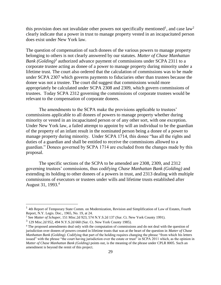this provision does not invalidate other powers not specifically mentioned<sup>1</sup>, and case law<sup>2</sup> clearly indicate that a power in trust to manage property vested in an incapacitated person does exist under New York law.

The question of compensation of such donees of the various powers to manage property belonging to others is not clearly answered by our statutes. *Matter of Chase Manhattan Bank (Golding)<sup>3</sup>* authorized advance payment of commissions under SCPA 2311 to a corporate trustee acting as donee of a power to manage property during minority under a lifetime trust. The court also ordered that the calculation of commissions was to be made under SCPA 2307 which governs payments to fiduciaries other than trustees because the donee was not a trustee. The court did suggest that commissions would more appropriately be calculated under SCPA 2308 and 2309, which govern commissions of trustees. Today SCPA 2312 governing the commissions of corporate trustees would be relevant to the compensation of corporate donees.

The amendments to the SCPA make the provisions applicable to trustees' commissions applicable to all donees of powers to manage property whether during minority or vested in an incapacitated person or of any other sort, with one exception. Under New York law, a failed attempt to appoint by will an individual to be the guardian of the property of an infant result in the nominated person being a donee of a power to manage property during minority. Under SCPA 1714, this donee "has all the rights and duties of a guardian and shall be entitled to receive the commissions allowed to a guardian." Donees governed by SCPA 1714 are excluded from the changes made by this proposal.

The specific sections of the SCPA to be amended are 2308, 2309, and 2312 governing trustees' commissions, thus codifying *Chase Manhattan Bank (Golding)* and extending its holding to other donees of a powers in trust, and 2313 dealing with multiple commissions of executors or trustees under wills and lifetime trusts established after August 31, 1993.<sup>4</sup>

 $\overline{a}$ 

<sup>&</sup>lt;sup>1</sup> 4th Report of Temporary State Comm. on Modernization, Revision and Simplification of Law of Estates, Fourth Report, N.Y. Legis. Doc., 1965, No. 19, at 24.

<sup>2</sup> See *Matter of Schaper*, 151 Misc.2d 923, 574 N.Y.S.2d 137 (Sur. Ct. New York County 1991).

<sup>3</sup> 129 Misc.2d 952, 494 N.Y.S.2d 660 (Sur. Ct. New York County 1985).

<sup>4</sup> The proposed amendments deal only with the computation of commissions and do not deal with the question of jurisdiction over donees of powers created in lifetime trusts that was at the heart of the question in *Matter of Chase Manhattan Bank (Golding)*. Codifying that part of the holding requires changing the phrase "from which his letters issued" with the phrase "the court having jurisdiction over the estate or trust" in SCPA 2011 which, as the opinion in *Matter of Chase Manhattan Bank (Golding)* points out, is the meaning of the phrase under CPLR 8005. Such an amendment is beyond the remit of this project.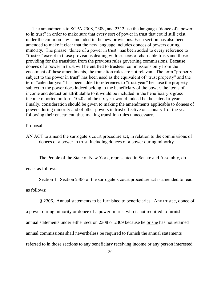The amendments to SCPA 2308, 2309, and 2312 use the language "donee of a power to in trust" in order to make sure that every sort of power in trust that could still exist under the common law is included in the new provisions. Each section has also been amended to make it clear that the new language includes donees of powers during minority. The phrase "donee of a power in trust" has been added to every reference to "trustee" except in those provisions dealing with trustees of charitable trusts and those providing for the transition from the previous rules governing commissions. Because donees of a power in trust will be entitled to trustees' commissions only from the enactment of these amendments, the transition rules are not relevant. The term "property subject to the power in trust" has been used as the equivalent of "trust property" and the term "calendar year" has been added to references to "trust year" because the property subject to the power does indeed belong to the beneficiary of the power, the items of income and deduction attributable to it would be included in the beneficiary's gross income reported on form 1040 and the tax year would indeed be the calendar year. Finally, consideration should be given to making the amendments applicable to donees of powers during minority and of other powers in trust effective on January 1 of the year following their enactment, thus making transition rules unnecessary.

#### Proposal:

AN ACT to amend the surrogate's court procedure act, in relation to the commissions of donees of a power in trust, including donees of a power during minority

### The People of the State of New York, represented in Senate and Assembly, do

#### enact as follows:

Section 1. Section 2306 of the surrogate's court procedure act is amended to read

as follows:

§ 2306. Annual statements to be furnished to beneficiaries. Any trustee, donee of

a power during minority or donee of a power in trust who is not required to furnish

annual statements under either section 2308 or 2309 because he or she has not retained

annual commissions shall nevertheless be required to furnish the annual statements

referred to in those sections to any beneficiary receiving income or any person interested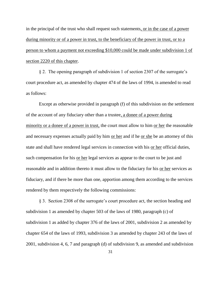in the principal of the trust who shall request such statements, or in the case of a power during minority or of a power in trust, to the beneficiary of the power in trust, or to a person to whom a payment not exceeding \$10,000 could be made under subdivision 1 of section 2220 of this chapter.

§ 2. The opening paragraph of subdivision 1 of section 2307 of the surrogate's court procedure act, as amended by chapter 474 of the laws of 1994, is amended to read as follows:

Except as otherwise provided in paragraph (f) of this subdivision on the settlement of the account of any fiduciary other than a trustee, a donee of a power during minority or a donee of a power in trust, the court must allow to him or her the reasonable and necessary expenses actually paid by him <u>or her</u> and if he <u>or she</u> be an attorney of this state and shall have rendered legal services in connection with his or her official duties, such compensation for his <u>or her</u> legal services as appear to the court to be just and reasonable and in addition thereto it must allow to the fiduciary for his or her services as fiduciary, and if there be more than one, apportion among them according to the services rendered by them respectively the following commissions:

§ 3. Section 2308 of the surrogate's court procedure act, the section heading and subdivision 1 as amended by chapter 503 of the laws of 1980, paragraph (c) of subdivision 1 as added by chapter 376 of the laws of 2001, subdivision 2 as amended by chapter 654 of the laws of 1993, subdivision 3 as amended by chapter 243 of the laws of 2001, subdivision 4, 6, 7 and paragraph (d) of subdivision 9, as amended and subdivision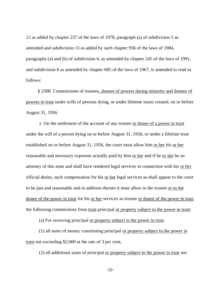12 as added by chapter 237 of the laws of 1978, paragraph (a) of subdivision 5 as amended and subdivision 13 as added by such chapter 936 of the laws of 1984, paragraphs (a) and (b) of subdivision 6, as amended by chapter 245 of the laws of 1991, and subdivision 8 as amended by chapter 685 of the laws of 1967, is amended to read as follows:

 § 2308. Commissions of trustees, donees of powers during minority and donees of powers in trust under wills of persons dying, or under lifetime trusts created, on or before August 31, 1956.

1. On the settlement of the account of any trustee or donee of a power in trust under the will of a person dying on or before August 31, 1956, or under a lifetime trust established on or before August 31, 1956, the court must allow him or her his or her reasonable and necessary expenses actually paid by him or her and if he or she be an attorney of this state and shall have rendered legal services in connection with his or her official duties, such compensation for his or her legal services as shall appear to the court to be just and reasonable and in addition thereto it must allow to the trustee or to the donee of the power in trust for his or her services as trustee or donee of the power in trust the following commissions from trust principal or property subject to the power in trust:

(a) For receiving principal or property subject to the power in trust

(1) all sums of money constituting principal or property subject to the power in trust not exceeding \$2,000 at the rate of 3 per cent;

(2) all additional sums of principal or property subject to the power in trust not

-32-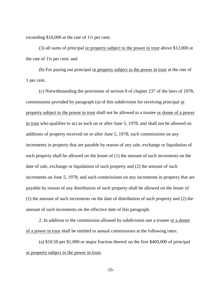exceeding \$10,000 at the rate of 1½ per cent;

(3) all sums of principal or property subject to the power in trust above \$12,000 at the rate of 1¼ per cent; and

(b) For paying out principal or property subject to the power in trust at the rate of 1 per cent.

(c) Notwithstanding the provisions of section 8 of chapter 237 of the laws of 1978, commissions provided by paragraph (a) of this subdivision for receiving principal or property subject to the power in trust shall not be allowed to a trustee or donee of a power in trust who qualifies to act as such on or after June 5, 1978, and shall not be allowed on additions of property received on or after June 5, 1978; such commissions on any increments in property that are payable by reason of any sale, exchange or liquidation of such property shall be allowed on the lesser of (1) the amount of such increments on the date of sale, exchange or liquidation of such property and (2) the amount of such increments on June 5, 1978; and such commissions on any increments in property that are payable by reason of any distribution of such property shall be allowed on the lesser of (1) the amount of such increments on the date of distribution of such property and (2) the amount of such increments on the effective date of this paragraph.

2. In addition to the commission allowed by subdivision one a trustee or a donee of a power in trust shall be entitled to annual commissions at the following rates:

(a) \$10.50 per \$1,000 or major fraction thereof on the first \$400,000 of principal or property subject to the power in trust;

-33-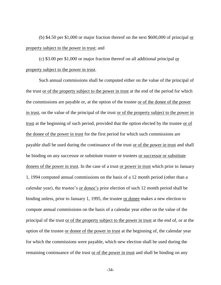(b) \$4.50 per \$1,000 or major fraction thereof on the next \$600,000 of principal <u>or</u> property subject to the power in trust; and

(c) \$3.00 per \$1,000 or major fraction thereof on all additional principal or property subject to the power in trust.

Such annual commissions shall be computed either on the value of the principal of the trust or of the property subject to the power in trust at the end of the period for which the commissions are payable or, at the option of the trustee or of the donee of the power in trust, on the value of the principal of the trust or of the property subject to the power in trust at the beginning of such period, provided that the option elected by the trustee or of the donee of the power in trust for the first period for which such commissions are payable shall be used during the continuance of the trust or of the power in trust and shall be binding on any successor or substitute trustee or trustees or successor or substitute donees of the power in trust. In the case of a trust or power in trust which prior to January 1, 1994 computed annual commissions on the basis of a 12 month period (other than a calendar year), the trustee's or donee's prior election of such 12 month period shall be binding unless, prior to January 1, 1995, the trustee or donee makes a new election to compute annual commissions on the basis of a calendar year either on the value of the principal of the trust or of the property subject to the power in trust at the end of, or at the option of the trustee or donee of the power in trust at the beginning of, the calendar year for which the commissions were payable, which new election shall be used during the remaining continuance of the trust or of the power in trust and shall be binding on any

-34-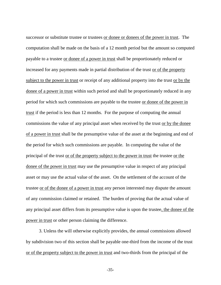successor or substitute trustee or trustees or donee or donees of the power in trust. The computation shall be made on the basis of a 12 month period but the amount so computed payable to a trustee or donee of a power in trust shall be proportionately reduced or increased for any payments made in partial distribution of the trust or of the property subject to the power in trust or receipt of any additional property into the trust or by the donee of a power in trust within such period and shall be proportionately reduced in any period for which such commissions are payable to the trustee or donee of the power in trust if the period is less than 12 months. For the purpose of computing the annual commissions the value of any principal asset when received by the trust or by the donee of a power in trust shall be the presumptive value of the asset at the beginning and end of the period for which such commissions are payable. In computing the value of the principal of the trust or of the property subject to the power in trust the trustee or the donee of the power in trust may use the presumptive value in respect of any principal asset or may use the actual value of the asset. On the settlement of the account of the trustee or of the donee of a power in trust any person interested may dispute the amount of any commission claimed or retained. The burden of proving that the actual value of any principal asset differs from its presumptive value is upon the trustee, the donee of the power in trust or other person claiming the difference.

3. Unless the will otherwise explicitly provides, the annual commissions allowed by subdivision two of this section shall be payable one-third from the income of the trust or of the property subject to the power in trust and two-thirds from the principal of the

-35-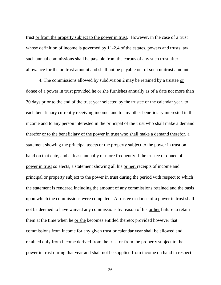trust or from the property subject to the power in trust. However, in the case of a trust whose definition of income is governed by 11-2.4 of the estates, powers and trusts law, such annual commissions shall be payable from the corpus of any such trust after allowance for the unitrust amount and shall not be payable out of such unitrust amount.

4. The commissions allowed by subdivision 2 may be retained by a trustee or donee of a power in trust provided he or she furnishes annually as of a date not more than 30 days prior to the end of the trust year selected by the trustee or the calendar year, to each beneficiary currently receiving income, and to any other beneficiary interested in the income and to any person interested in the principal of the trust who shall make a demand therefor or to the beneficiary of the power in trust who shall make a demand therefor, a statement showing the principal assets or the property subject to the power in trust on hand on that date, and at least annually or more frequently if the trustee or donee of a power in trust so elects, a statement showing all his or her, receipts of income and principal or property subject to the power in trust during the period with respect to which the statement is rendered including the amount of any commissions retained and the basis upon which the commissions were computed. A trustee or donee of a power in trust shall not be deemed to have waived any commissions by reason of his or her failure to retain them at the time when he or she becomes entitled thereto; provided however that commissions from income for any given trust or calendar year shall be allowed and retained only from income derived from the trust or from the property subject to the power in trust during that year and shall not be supplied from income on hand in respect

-36-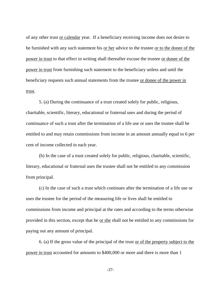of any other trust or calendar year. If a beneficiary receiving income does not desire to be furnished with any such statement his or her advice to the trustee or to the donee of the power in trust to that effect in writing shall thereafter excuse the trustee or donee of the power in trust from furnishing such statement to the beneficiary unless and until the beneficiary requests such annual statements from the trustee or donee of the power in trust.

5. (a) During the continuance of a trust created solely for public, religious, charitable, scientific, literary, educational or fraternal uses and during the period of continuance of such a trust after the termination of a life use or uses the trustee shall be entitled to and may retain commissions from income in an amount annually equal to 6 per cent of income collected in each year.

(b) In the case of a trust created solely for public, religious, charitable, scientific, literary, educational or fraternal uses the trustee shall not be entitled to any commission from principal.

(c) In the case of such a trust which continues after the termination of a life use or uses the trustee for the period of the measuring life or lives shall be entitled to commissions from income and principal at the rates and according to the terms otherwise provided in this section, except that he or she shall not be entitled to any commissions for paying out any amount of principal.

6. (a) If the gross value of the principal of the trust or of the property subject to the power in trust accounted for amounts to \$400,000 or more and there is more than 1

-37-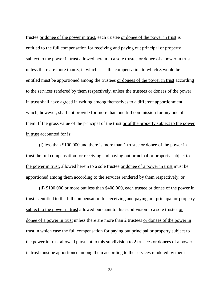trustee or donee of the power in trust, each trustee or donee of the power in trust is entitled to the full compensation for receiving and paying out principal or property subject to the power in trust allowed herein to a sole trustee or donee of a power in trust unless there are more than 3, in which case the compensation to which 3 would be entitled must be apportioned among the trustees or donees of the power in trust according to the services rendered by them respectively, unless the trustees or donees of the power in trust shall have agreed in writing among themselves to a different apportionment which, however, shall not provide for more than one full commission for any one of them. If the gross value of the principal of the trust or of the property subject to the power in trust accounted for is:

(i) less than \$100,000 and there is more than 1 trustee or donee of the power in trust the full compensation for receiving and paying out principal or property subject to the power in trust, allowed herein to a sole trustee or donee of a power in trust must be apportioned among them according to the services rendered by them respectively, or

(ii) \$100,000 or more but less than \$400,000, each trustee or donee of the power in trust is entitled to the full compensation for receiving and paying out principal or property subject to the power in trust allowed pursuant to this subdivision to a sole trustee or donee of a power in trust unless there are more than 2 trustees or donees of the power in trust in which case the full compensation for paying out principal or property subject to the power in trust allowed pursuant to this subdivision to 2 trustees or donees of a power in trust must be apportioned among them according to the services rendered by them

-38-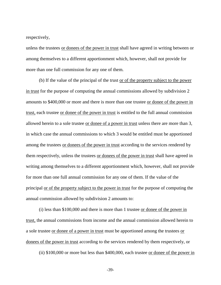respectively,

unless the trustees or donees of the power in trust shall have agreed in writing between or among themselves to a different apportionment which, however, shall not provide for more than one full commission for any one of them.

(b) If the value of the principal of the trust or of the property subject to the power in trust for the purpose of computing the annual commissions allowed by subdivision 2 amounts to \$400,000 or more and there is more than one trustee or donee of the power in trust, each trustee or donee of the power in trust is entitled to the full annual commission allowed herein to a sole trustee or donee of a power in trust unless there are more than 3, in which case the annual commissions to which 3 would be entitled must be apportioned among the trustees or donees of the power in trust according to the services rendered by them respectively, unless the trustees or donees of the power in trust shall have agreed in writing among themselves to a different apportionment which, however, shall not provide for more than one full annual commission for any one of them. If the value of the principal or of the property subject to the power in trust for the purpose of computing the annual commission allowed by subdivision 2 amounts to:

(i) less than \$100,000 and there is more than 1 trustee or donee of the power in trust, the annual commissions from income and the annual commission allowed herein to a sole trustee or donee of a power in trust must be apportioned among the trustees or donees of the power in trust according to the services rendered by them respectively, or

(ii) \$100,000 or more but less than \$400,000, each trustee or donee of the power in

-39-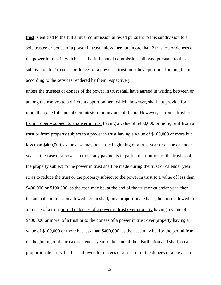trust is entitled to the full annual commission allowed pursuant to this subdivision to a sole trustee or donee of a power in trust unless there are more than 2 trustees or donees of the power in trust in which case the full annual commissions allowed pursuant to this subdivision to 2 trustees or donees of a power in trust must be apportioned among them according to the services rendered by them respectively,

unless the trustees or donees of the power in trust shall have agreed in writing between or among themselves to a different apportionment which, however, shall not provide for more than one full annual commission for any one of them. However, if from a trust or from property subject to a power in trust having a value of \$400,000 or more, or if from a trust or from property subject to a power in trust having a value of \$100,000 or more but less than \$400,000, as the case may be, at the beginning of a trust year or of the calendar year in the case of a power in trust, any payments in partial distribution of the trust or of the property subject to the power in trust shall be made during the trust or calendar year so as to reduce the trust or the property subject to the power in trust to a value of less than \$400,000 or \$100,000, as the case may be, at the end of the trust or calendar year, then the annual commission allowed herein shall, on a proportionate basis, be those allowed to a trustee of a trust or to the donees of a power in trust over property having a value of \$400,000 or more, of a trust or to the donees of a power in trust over property having a value of \$100,000 or more but less than \$400,000, as the case may be, for the period from the beginning of the trust or calendar year to the date of the distribution and shall, on a proportionate basis, be those allowed to trustees of a trust or to the donees of a power in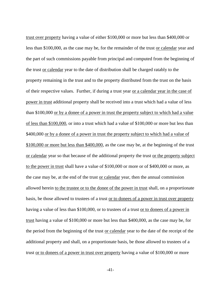trust over property having a value of either \$100,000 or more but less than \$400,000 or less than \$100,000, as the case may be, for the remainder of the trust or calendar year and the part of such commissions payable from principal and computed from the beginning of the trust or calendar year to the date of distribution shall be charged ratably to the property remaining in the trust and to the property distributed from the trust on the basis of their respective values. Further, if during a trust year or a calendar year in the case of power in trust additional property shall be received into a trust which had a value of less than \$100,000 or by a donee of a power in trust the property subject to which had a value of less than \$100,000, or into a trust which had a value of \$100,000 or more but less than \$400,000 or by a donee of a power in trust the property subject to which had a value of \$100,000 or more but less than \$400,000, as the case may be, at the beginning of the trust or calendar year so that because of the additional property the trust or the property subject to the power in trust shall have a value of \$100,000 or more or of \$400,000 or more, as the case may be, at the end of the trust or calendar year, then the annual commission allowed herein to the trustee or to the donee of the power in trust shall, on a proportionate basis, be those allowed to trustees of a trust or to donees of a power in trust over property having a value of less than \$100,000, or to trustees of a trust or to donees of a power in trust having a value of \$100,000 or more but less than \$400,000, as the case may be, for the period from the beginning of the trust or calendar year to the date of the receipt of the additional property and shall, on a proportionate basis, be those allowed to trustees of a trust or to donees of a power in trust over property having a value of \$100,000 or more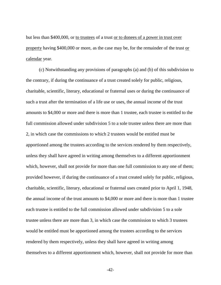but less than \$400,000, or to trustees of a trust or to donees of a power in trust over property having \$400,000 or more, as the case may be, for the remainder of the trust or calendar year.

(c) Notwithstanding any provisions of paragraphs (a) and (b) of this subdivision to the contrary, if during the continuance of a trust created solely for public, religious, charitable, scientific, literary, educational or fraternal uses or during the continuance of such a trust after the termination of a life use or uses, the annual income of the trust amounts to \$4,000 or more and there is more than 1 trustee, each trustee is entitled to the full commission allowed under subdivision 5 to a sole trustee unless there are more than 2, in which case the commissions to which 2 trustees would be entitled must be apportioned among the trustees according to the services rendered by them respectively, unless they shall have agreed in writing among themselves to a different apportionment which, however, shall not provide for more than one full commission to any one of them; provided however, if during the continuance of a trust created solely for public, religious, charitable, scientific, literary, educational or fraternal uses created prior to April 1, 1948, the annual income of the trust amounts to \$4,000 or more and there is more than 1 trustee each trustee is entitled to the full commission allowed under subdivision 5 to a sole trustee unless there are more than 3, in which case the commission to which 3 trustees would be entitled must be apportioned among the trustees according to the services rendered by them respectively, unless they shall have agreed in writing among themselves to a different apportionment which, however, shall not provide for more than

-42-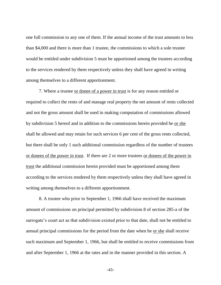one full commission to any one of them. If the annual income of the trust amounts to less than \$4,000 and there is more than 1 trustee, the commissions to which a sole trustee would be entitled under subdivision 5 must be apportioned among the trustees according to the services rendered by them respectively unless they shall have agreed in writing among themselves to a different apportionment.

7. Where a trustee or donee of a power in trust is for any reason entitled or required to collect the rents of and manage real property the net amount of rents collected and not the gross amount shall be used in making computation of commissions allowed by subdivision 5 hereof and in addition to the commissions herein provided he or she shall be allowed and may retain for such services 6 per cent of the gross rents collected, but there shall be only 1 such additional commission regardless of the number of trustees or donees of the power in trust. If there are 2 or more trustees or donees of the power in trust the additional commission herein provided must be apportioned among them according to the services rendered by them respectively unless they shall have agreed in writing among themselves to a different apportionment.

8. A trustee who prior to September 1, 1966 shall have received the maximum amount of commissions on principal permitted by subdivision 8 of section 285-a of the surrogate's court act as that subdivision existed prior to that date, shall not be entitled to annual principal commissions for the period from the date when he or she shall receive such maximum and September 1, 1966, but shall be entitled to receive commissions from and after September 1, 1966 at the rates and in the manner provided in this section. A

-43-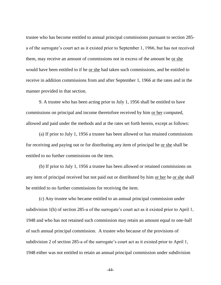trustee who has become entitled to annual principal commissions pursuant to section 285 a of the surrogate's court act as it existed prior to September 1, 1966, but has not received them, may receive an amount of commissions not in excess of the amount he or she would have been entitled to if he or she had taken such commissions, and be entitled to receive in addition commissions from and after September 1, 1966 at the rates and in the manner provided in that section.

9. A trustee who has been acting prior to July 1, 1956 shall be entitled to have commissions on principal and income theretofore received by him or her computed, allowed and paid under the methods and at the rates set forth herein, except as follows:

(a) If prior to July 1, 1956 a trustee has been allowed or has retained commissions for receiving and paying out or for distributing any item of principal he or she shall be entitled to no further commissions on the item.

(b) If prior to July 1, 1956 a trustee has been allowed or retained commissions on any item of principal received but not paid out or distributed by him or her he or she shall be entitled to no further commissions for receiving the item.

(c) Any trustee who became entitled to an annual principal commission under subdivision 1(b) of section 285-a of the surrogate's court act as it existed prior to April 1, 1948 and who has not retained such commission may retain an amount equal to one-half of such annual principal commission. A trustee who because of the provisions of subdivision 2 of section 285-a of the surrogate's court act as it existed prior to April 1, 1948 either was not entitled to retain an annual principal commission under subdivision

-44-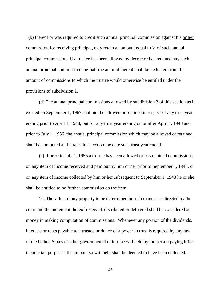1(b) thereof or was required to credit such annual principal commission against his or her commission for receiving principal, may retain an amount equal to ½ of such annual principal commission. If a trustee has been allowed by decree or has retained any such annual principal commission one-half the amount thereof shall be deducted from the amount of commissions to which the trustee would otherwise be entitled under the provisions of subdivision 1.

(d) The annual principal commissions allowed by subdivision 3 of this section as it existed on September 1, 1967 shall not be allowed or retained in respect of any trust year ending prior to April 1, 1948, but for any trust year ending on or after April 1, 1948 and prior to July 1, 1956, the annual principal commission which may be allowed or retained shall be computed at the rates in effect on the date such trust year ended.

(e) If prior to July 1, 1956 a trustee has been allowed or has retained commissions on any item of income received and paid out by him or her prior to September 1, 1943, or on any item of income collected by him or her subsequent to September 1, 1943 he or she shall be entitled to no further commission on the item.

10. The value of any property to be determined in such manner as directed by the court and the increment thereof received, distributed or delivered shall be considered as money in making computation of commissions. Whenever any portion of the dividends, interests or rents payable to a trustee or donee of a power in trust is required by any law of the United States or other governmental unit to be withheld by the person paying it for income tax purposes, the amount so withheld shall be deemed to have been collected.

-45-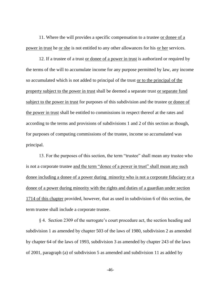11. Where the will provides a specific compensation to a trustee or donee of a power in trust he or she is not entitled to any other allowances for his or her services.

12. If a trustee of a trust or donee of a power in trust is authorized or required by the terms of the will to accumulate income for any purpose permitted by law, any income so accumulated which is not added to principal of the trust or to the principal of the property subject to the power in trust shall be deemed a separate trust or separate fund subject to the power in trust for purposes of this subdivision and the trustee or donee of the power in trust shall be entitled to commissions in respect thereof at the rates and according to the terms and provisions of subdivisions 1 and 2 of this section as though, for purposes of computing commissions of the trustee, income so accumulated was principal.

13. For the purposes of this section, the term "trustee" shall mean any trustee who is not a corporate trustee and the term "donee of a power in trust" shall mean any such donee including a donee of a power during minority who is not a corporate fiduciary or a donee of a power during minority with the rights and duties of a guardian under section 1714 of this chapter provided, however, that as used in subdivision 6 of this section, the term trustee shall include a corporate trustee.

§ 4. Section 2309 of the surrogate's court procedure act, the section heading and subdivision 1 as amended by chapter 503 of the laws of 1980, subdivision 2 as amended by chapter 64 of the laws of 1993, subdivision 3 as amended by chapter 243 of the laws of 2001, paragraph (a) of subdivision 5 as amended and subdivision 11 as added by

-46-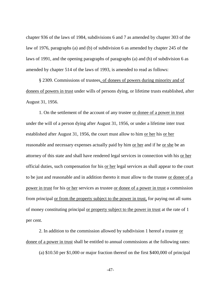chapter 936 of the laws of 1984, subdivisions 6 and 7 as amended by chapter 303 of the law of 1976, paragraphs (a) and (b) of subdivision 6 as amended by chapter 245 of the laws of 1991, and the opening paragraphs of paragraphs (a) and (b) of subdivision 6 as amended by chapter 514 of the laws of 1993, is amended to read as follows:

§ 2309. Commissions of trustees, of donees of powers during minority and of donees of powers in trust under wills of persons dying, or lifetime trusts established, after August 31, 1956.

1. On the settlement of the account of any trustee or donee of a power in trust under the will of a person dying after August 31, 1956, or under a lifetime inter trust established after August 31, 1956, the court must allow to him <u>or her</u> his <u>or her</u> reasonable and necessary expenses actually paid by him or her and if he or she be an attorney of this state and shall have rendered legal services in connection with his or her official duties, such compensation for his or her legal services as shall appear to the court to be just and reasonable and in addition thereto it must allow to the trustee or donee of a power in trust for his or her services as trustee or donee of a power in trust a commission from principal or from the property subject to the power in trust, for paying out all sums of money constituting principal or property subject to the power in trust at the rate of 1 per cent.

2. In addition to the commission allowed by subdivision 1 hereof a trustee or donee of a power in trust shall be entitled to annual commissions at the following rates:

(a) \$10.50 per \$1,000 or major fraction thereof on the first \$400,000 of principal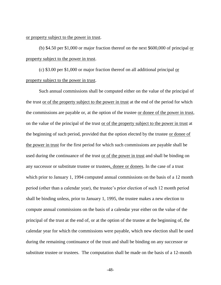## or property subject to the power in trust.

(b) \$4.50 per \$1,000 or major fraction thereof on the next \$600,000 of principal or property subject to the power in trust.

(c) \$3.00 per \$1,000 or major fraction thereof on all additional principal or property subject to the power in trust.

Such annual commissions shall be computed either on the value of the principal of the trust or of the property subject to the power in trust at the end of the period for which the commissions are payable or, at the option of the trustee or donee of the power in trust, on the value of the principal of the trust or of the property subject to the power in trust at the beginning of such period, provided that the option elected by the trustee or donee of the power in trust for the first period for which such commissions are payable shall be used during the continuance of the trust or of the power in trust and shall be binding on any successor or substitute trustee or trustees, donee or donees. In the case of a trust which prior to January 1, 1994 computed annual commissions on the basis of a 12 month period (other than a calendar year), the trustee's prior election of such 12 month period shall be binding unless, prior to January 1, 1995, the trustee makes a new election to compute annual commissions on the basis of a calendar year either on the value of the principal of the trust at the end of, or at the option of the trustee at the beginning of, the calendar year for which the commissions were payable, which new election shall be used during the remaining continuance of the trust and shall be binding on any successor or substitute trustee or trustees. The computation shall be made on the basis of a 12-month

-48-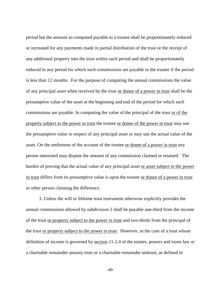period but the amount so computed payable to a trustee shall be proportionately reduced or increased for any payments made in partial distribution of the trust or the receipt of any additional property into the trust within such period and shall be proportionately reduced in any period for which such commissions are payable to the trustee if the period is less than 12 months. For the purpose of computing the annual commissions the value of any principal asset when received by the trust or donee of a power in trust shall be the presumptive value of the asset at the beginning and end of the period for which such commissions are payable. In computing the value of the principal of the trust or of the property subject to the power in trust the trustee or donee of the power in trust may use the presumptive value in respect of any principal asset or may use the actual value of the asset. On the settlement of the account of the trustee or donee of a power in trust any person interested may dispute the amount of any commission claimed or retained. The burden of proving that the actual value of any principal asset or asset subject to the power in trust differs from its presumptive value is upon the trustee or donee of a power in trust or other person claiming the difference.

3. Unless the will or lifetime trust instrument otherwise explicitly provides the annual commissions allowed by subdivision 2 shall be payable one-third from the income of the trust or property subject to the power in trust and two-thirds from the principal of the trust or property subject to the power in trust. However, in the case of a trust whose definition of income is governed by section 11-2.4 of the estates, powers and trusts law or a charitable remainder annuity trust or a charitable remainder unitrust, as defined in

-49-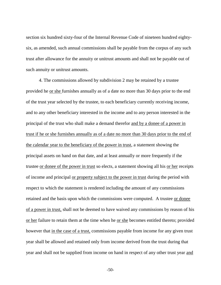section six hundred sixty-four of the Internal Revenue Code of nineteen hundred eightysix, as amended, such annual commissions shall be payable from the corpus of any such trust after allowance for the annuity or unitrust amounts and shall not be payable out of such annuity or unitrust amounts.

4. The commissions allowed by subdivision 2 may be retained by a trustee provided he or she furnishes annually as of a date no more than 30 days prior to the end of the trust year selected by the trustee, to each beneficiary currently receiving income, and to any other beneficiary interested in the income and to any person interested in the principal of the trust who shall make a demand therefor and by a donee of a power in trust if he or she furnishes annually as of a date no more than 30 days prior to the end of the calendar year to the beneficiary of the power in trust, a statement showing the principal assets on hand on that date, and at least annually or more frequently if the trustee or donee of the power in trust so elects, a statement showing all his or her receipts of income and principal or property subject to the power in trust during the period with respect to which the statement is rendered including the amount of any commissions retained and the basis upon which the commissions were computed. A trustee or donee of a power in trust, shall not be deemed to have waived any commissions by reason of his or her failure to retain them at the time when he or she becomes entitled thereto; provided however that <u>in the case of a trust</u>, commissions payable from income for any given trust year shall be allowed and retained only from income derived from the trust during that year and shall not be supplied from income on hand in respect of any other trust year and

-50-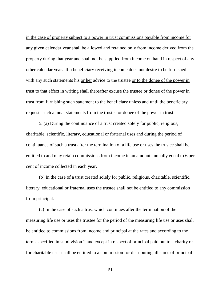in the case of property subject to a power in trust commissions payable from income for any given calendar year shall be allowed and retained only from income derived from the property during that year and shall not be supplied from income on hand in respect of any other calendar year. If a beneficiary receiving income does not desire to be furnished with any such statements his or her advice to the trustee or to the donee of the power in trust to that effect in writing shall thereafter excuse the trustee or donee of the power in trust from furnishing such statement to the beneficiary unless and until the beneficiary requests such annual statements from the trustee or donee of the power in trust.

5. (a) During the continuance of a trust created solely for public, religious, charitable, scientific, literary, educational or fraternal uses and during the period of continuance of such a trust after the termination of a life use or uses the trustee shall be entitled to and may retain commissions from income in an amount annually equal to 6 per cent of income collected in each year.

(b) In the case of a trust created solely for public, religious, charitable, scientific, literary, educational or fraternal uses the trustee shall not be entitled to any commission from principal.

(c) In the case of such a trust which continues after the termination of the measuring life use or uses the trustee for the period of the measuring life use or uses shall be entitled to commissions from income and principal at the rates and according to the terms specified in subdivision 2 and except in respect of principal paid out to a charity or for charitable uses shall be entitled to a commission for distributing all sums of principal

-51-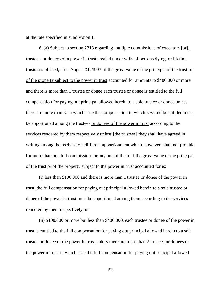at the rate specified in subdivision 1.

6. (a) Subject to section 2313 regarding multiple commissions of executors [or], trustees, or donees of a power in trust created under wills of persons dying, or lifetime trusts established, after August 31, 1993, if the gross value of the principal of the trust or of the property subject to the power in trust accounted for amounts to \$400,000 or more and there is more than 1 trustee or donee each trustee or donee is entitled to the full compensation for paying out principal allowed herein to a sole trustee or donee unless there are more than 3, in which case the compensation to which 3 would be entitled must be apportioned among the trustees or donees of the power in trust according to the services rendered by them respectively unless [the trustees] they shall have agreed in writing among themselves to a different apportionment which, however, shall not provide for more than one full commission for any one of them. If the gross value of the principal of the trust or of the property subject to the power in trust accounted for is:

(i) less than \$100,000 and there is more than 1 trustee or donee of the power in trust, the full compensation for paying out principal allowed herein to a sole trustee or donee of the power in trust must be apportioned among them according to the services rendered by them respectively, or

(ii) \$100,000 or more but less than \$400,000, each trustee or donee of the power in trust is entitled to the full compensation for paying out principal allowed herein to a sole trustee or donee of the power in trust unless there are more than 2 trustees or donees of the power in trust in which case the full compensation for paying out principal allowed

-52-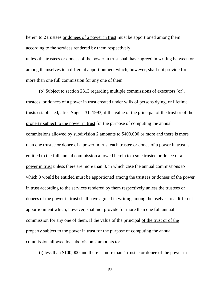herein to 2 trustees or donees of a power in trust must be apportioned among them according to the services rendered by them respectively,

unless the trustees or donees of the power in trust shall have agreed in writing between or among themselves to a different apportionment which, however, shall not provide for more than one full commission for any one of them.

(b) Subject to section 2313 regarding multiple commissions of executors [or], trustees, or donees of a power in trust created under wills of persons dying, or lifetime trusts established, after August 31, 1993, if the value of the principal of the trust or of the property subject to the power in trust for the purpose of computing the annual commissions allowed by subdivision 2 amounts to \$400,000 or more and there is more than one trustee or donee of a power in trust each trustee or donee of a power in trust is entitled to the full annual commission allowed herein to a sole trustee or donee of a power in trust unless there are more than 3, in which case the annual commissions to which 3 would be entitled must be apportioned among the trustees or donees of the power in trust according to the services rendered by them respectively unless the trustees or donees of the power in trust shall have agreed in writing among themselves to a different apportionment which, however, shall not provide for more than one full annual commission for any one of them. If the value of the principal of the trust or of the property subject to the power in trust for the purpose of computing the annual commission allowed by subdivision 2 amounts to:

(i) less than \$100,000 and there is more than 1 trustee or donee of the power in

-53-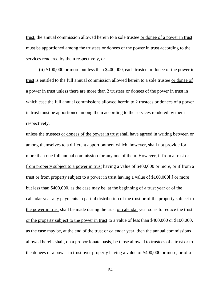trust, the annual commission allowed herein to a sole trustee or donee of a power in trust must be apportioned among the trustees or donees of the power in trust according to the services rendered by them respectively, or

(ii) \$100,000 or more but less than \$400,000, each trustee or donee of the power in trust is entitled to the full annual commission allowed herein to a sole trustee or donee of a power in trust unless there are more than 2 trustees or donees of the power in trust in which case the full annual commissions allowed herein to 2 trustees or donees of a power in trust must be apportioned among them according to the services rendered by them respectively,

unless the trustees or donees of the power in trust shall have agreed in writing between or among themselves to a different apportionment which, however, shall not provide for more than one full annual commission for any one of them. However, if from a trust or from property subject to a power in trust having a value of \$400,000 or more, or if from a trust or from property subject to a power in trust having a value of \$100,000[,] or more but less than \$400,000, as the case may be, at the beginning of a trust year or of the calendar year any payments in partial distribution of the trust or of the property subject to the power in trust shall be made during the trust or calendar year so as to reduce the trust or the property subject to the power in trust to a value of less than \$400,000 or \$100,000, as the case may be, at the end of the trust or calendar year, then the annual commissions allowed herein shall, on a proportionate basis, be those allowed to trustees of a trust or to the donees of a power in trust over property having a value of \$400,000 or more, or of a

-54-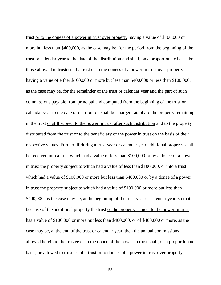trust or to the donees of a power in trust over property having a value of \$100,000 or more but less than \$400,000, as the case may be, for the period from the beginning of the trust or calendar year to the date of the distribution and shall, on a proportionate basis, be those allowed to trustees of a trust or to the donees of a power in trust over property having a value of either \$100,000 or more but less than \$400,000 or less than \$100,000, as the case may be, for the remainder of the trust or calendar year and the part of such commissions payable from principal and computed from the beginning of the trust or calendar year to the date of distribution shall be charged ratably to the property remaining in the trust or still subject to the power in trust after such distribution and to the property distributed from the trust or to the beneficiary of the power in trust on the basis of their respective values. Further, if during a trust year or calendar year additional property shall be received into a trust which had a value of less than \$100,000 or by a donee of a power in trust the property subject to which had a value of less than \$100,000, or into a trust which had a value of \$100,000 or more but less than \$400,000 or by a donee of a power in trust the property subject to which had a value of \$100,000 or more but less than \$400,000, as the case may be, at the beginning of the trust year or calendar year, so that because of the additional property the trust or the property subject to the power in trust has a value of \$100,000 or more but less than \$400,000, or of \$400,000 or more, as the case may be, at the end of the trust <u>or calendar</u> year, then the annual commissions allowed herein to the trustee or to the donee of the power in trust shall, on a proportionate basis, be allowed to trustees of a trust or to donees of a power in trust over property

-55-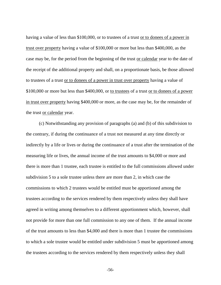having a value of less than \$100,000, or to trustees of a trust <u>or to donees of a power in</u> trust over property having a value of \$100,000 or more but less than \$400,000, as the case may be, for the period from the beginning of the trust <u>or calendar</u> year to the date of the receipt of the additional property and shall, on a proportionate basis, be those allowed to trustees of a trust or to donees of a power in trust over property having a value of \$100,000 or more but less than \$400,000, or to trustees of a trust or to donees of a power in trust over property having \$400,000 or more, as the case may be, for the remainder of the trust or calendar year.

(c) Notwithstanding any provision of paragraphs (a) and (b) of this subdivision to the contrary, if during the continuance of a trust not measured at any time directly or indirectly by a life or lives or during the continuance of a trust after the termination of the measuring life or lives, the annual income of the trust amounts to \$4,000 or more and there is more than 1 trustee, each trustee is entitled to the full commissions allowed under subdivision 5 to a sole trustee unless there are more than 2, in which case the commissions to which 2 trustees would be entitled must be apportioned among the trustees according to the services rendered by them respectively unless they shall have agreed in writing among themselves to a different apportionment which, however, shall not provide for more than one full commission to any one of them. If the annual income of the trust amounts to less than \$4,000 and there is more than 1 trustee the commissions to which a sole trustee would be entitled under subdivision 5 must be apportioned among the trustees according to the services rendered by them respectively unless they shall

-56-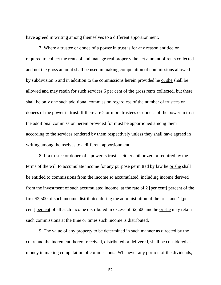have agreed in writing among themselves to a different apportionment.

7. Where a trustee or donee of a power in trust is for any reason entitled or required to collect the rents of and manage real property the net amount of rents collected and not the gross amount shall be used in making computation of commissions allowed by subdivision 5 and in addition to the commissions herein provided he or she shall be allowed and may retain for such services 6 per cent of the gross rents collected, but there shall be only one such additional commission regardless of the number of trustees or donees of the power in trust. If there are 2 or more trustees or donees of the power in trust the additional commission herein provided for must be apportioned among them according to the services rendered by them respectively unless they shall have agreed in writing among themselves to a different apportionment.

8. If a trustee or donee of a power is trust is either authorized or required by the terms of the will to accumulate income for any purpose permitted by law he or she shall be entitled to commissions from the income so accumulated, including income derived from the investment of such accumulated income, at the rate of 2 [per cent] percent of the first \$2,500 of such income distributed during the administration of the trust and 1 [per cent] percent of all such income distributed in excess of \$2,500 and he or she may retain such commissions at the time or times such income is distributed.

9. The value of any property to be determined in such manner as directed by the court and the increment thereof received, distributed or delivered, shall be considered as money in making computation of commissions. Whenever any portion of the dividends,

-57-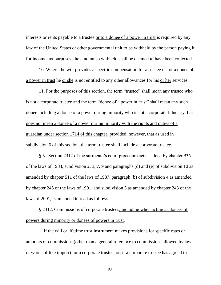interests or rents payable to a trustee <u>or to a donee of a power in trust</u> is required by any law of the United States or other governmental unit to be withheld by the person paying it for income tax purposes, the amount so withheld shall be deemed to have been collected.

10. Where the will provides a specific compensation for a trustee or for a donee of a power in trust he or she is not entitled to any other allowances for his or her services.

11. For the purposes of this section, the term "trustee" shall mean any trustee who is not a corporate trustee and the term "donee of a power in trust" shall mean any such donee including a donee of a power during minority who is not a corporate fiduciary, but does not mean a donee of a power during minority with the rights and duties of a guardian under section 1714 of this chapter, provided, however, that as used in subdivision 6 of this section, the term trustee shall include a corporate trustee.

§ 5. Section 2312 of the surrogate's court procedure act as added by chapter 936 of the laws of 1984, subdivision 2, 3, 7, 9 and paragraphs (d) and (e) of subdivision 10 as amended by chapter 511 of the laws of 1987, paragraph (b) of subdivision 4 as amended by chapter 245 of the laws of 1991, and subdivision 5 as amended by chapter 243 of the laws of 2001, is amended to read as follows:

§ 2312. Commissions of corporate trustees, including when acting as donees of powers during minority or donees of powers in trust.

1. If the will or lifetime trust instrument makes provisions for specific rates or amounts of commissions (other than a general reference to commissions allowed by law or words of like import) for a corporate trustee, or, if a corporate trustee has agreed to

-58-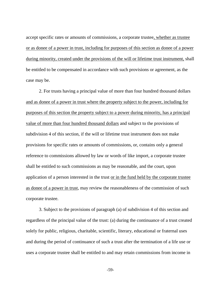accept specific rates or amounts of commissions, a corporate trustee, whether as trustee or as donee of a power in trust, including for purposes of this section as donee of a power during minority, created under the provisions of the will or lifetime trust instrument, shall be entitled to be compensated in accordance with such provisions or agreement, as the case may be.

2. For trusts having a principal value of more than four hundred thousand dollars and as donee of a power in trust where the property subject to the power, including for purposes of this section the property subject to a power during minority, has a principal value of more than four hundred thousand dollars and subject to the provisions of subdivision 4 of this section, if the will or lifetime trust instrument does not make provisions for specific rates or amounts of commissions, or, contains only a general reference to commissions allowed by law or words of like import, a corporate trustee shall be entitled to such commissions as may be reasonable, and the court, upon application of a person interested in the trust or in the fund held by the corporate trustee as donee of a power in trust, may review the reasonableness of the commission of such corporate trustee.

3. Subject to the provisions of paragraph (a) of subdivision 4 of this section and regardless of the principal value of the trust: (a) during the continuance of a trust created solely for public, religious, charitable, scientific, literary, educational or fraternal uses and during the period of continuance of such a trust after the termination of a life use or uses a corporate trustee shall be entitled to and may retain commissions from income in

-59-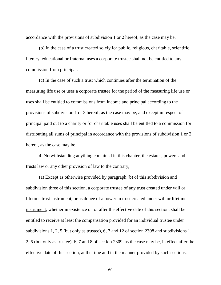accordance with the provisions of subdivision 1 or 2 hereof, as the case may be.

(b) In the case of a trust created solely for public, religious, charitable, scientific, literary, educational or fraternal uses a corporate trustee shall not be entitled to any commission from principal.

(c) In the case of such a trust which continues after the termination of the measuring life use or uses a corporate trustee for the period of the measuring life use or uses shall be entitled to commissions from income and principal according to the provisions of subdivision 1 or 2 hereof, as the case may be, and except in respect of principal paid out to a charity or for charitable uses shall be entitled to a commission for distributing all sums of principal in accordance with the provisions of subdivision 1 or 2 hereof, as the case may be.

4. Notwithstanding anything contained in this chapter, the estates, powers and trusts law or any other provision of law to the contrary,

(a) Except as otherwise provided by paragraph (b) of this subdivision and subdivision three of this section, a corporate trustee of any trust created under will or lifetime trust instrument, or as donee of a power in trust created under will or lifetime instrument, whether in existence on or after the effective date of this section, shall be entitled to receive at least the compensation provided for an individual trustee under subdivisions 1, 2, 5 (but only as trustee), 6, 7 and 12 of section 2308 and subdivisions 1, 2, 5 (but only as trustee), 6, 7 and 8 of section 2309, as the case may be, in effect after the effective date of this section, at the time and in the manner provided by such sections,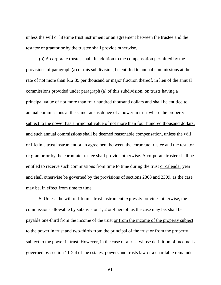unless the will or lifetime trust instrument or an agreement between the trustee and the testator or grantor or by the trustee shall provide otherwise.

(b) A corporate trustee shall, in addition to the compensation permitted by the provisions of paragraph (a) of this subdivision, be entitled to annual commissions at the rate of not more than \$12.35 per thousand or major fraction thereof, in lieu of the annual commissions provided under paragraph (a) of this subdivision, on trusts having a principal value of not more than four hundred thousand dollars and shall be entitled to annual commissions at the same rate as donee of a power in trust where the property subject to the power has a principal value of not more than four hundred thousand dollars, and such annual commissions shall be deemed reasonable compensation, unless the will or lifetime trust instrument or an agreement between the corporate trustee and the testator or grantor or by the corporate trustee shall provide otherwise. A corporate trustee shall be entitled to receive such commissions from time to time during the trust or calendar year and shall otherwise be governed by the provisions of sections 2308 and 2309, as the case may be, in effect from time to time.

5. Unless the will or lifetime trust instrument expressly provides otherwise, the commissions allowable by subdivision 1, 2 or 4 hereof, as the case may be, shall be payable one-third from the income of the trust or from the income of the property subject to the power in trust and two-thirds from the principal of the trust or from the property subject to the power in trust. However, in the case of a trust whose definition of income is governed by section 11-2.4 of the estates, powers and trusts law or a charitable remainder

-61-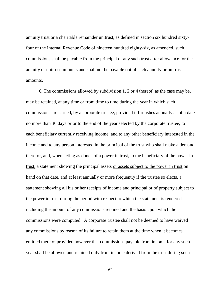annuity trust or a charitable remainder unitrust, as defined in section six hundred sixtyfour of the Internal Revenue Code of nineteen hundred eighty-six, as amended, such commissions shall be payable from the principal of any such trust after allowance for the annuity or unitrust amounts and shall not be payable out of such annuity or unitrust amounts.

6. The commissions allowed by subdivision 1, 2 or 4 thereof, as the case may be, may be retained, at any time or from time to time during the year in which such commissions are earned, by a corporate trustee, provided it furnishes annually as of a date no more than 30 days prior to the end of the year selected by the corporate trustee, to each beneficiary currently receiving income, and to any other beneficiary interested in the income and to any person interested in the principal of the trust who shall make a demand therefor, and, when acting as donee of a power in trust, to the beneficiary of the power in trust, a statement showing the principal assets or assets subject to the power in trust on hand on that date, and at least annually or more frequently if the trustee so elects, a statement showing all his or her receipts of income and principal or of property subject to the power in trust during the period with respect to which the statement is rendered including the amount of any commissions retained and the basis upon which the commissions were computed. A corporate trustee shall not be deemed to have waived any commissions by reason of its failure to retain them at the time when it becomes entitled thereto; provided however that commissions payable from income for any such year shall be allowed and retained only from income derived from the trust during such

-62-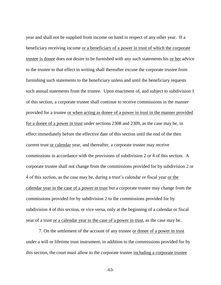year and shall not be supplied from income on hand in respect of any other year. If a beneficiary receiving income or a beneficiary of a power in trust of which the corporate trustee is donee does not desire to be furnished with any such statements his <u>or her</u> advice to the trustee to that effect in writing shall thereafter excuse the corporate trustee from furnishing such statements to the beneficiary unless and until the beneficiary requests such annual statements from the trustee. Upon enactment of, and subject to subdivision 1 of this section, a corporate trustee shall continue to receive commissions in the manner provided for a trustee or when acting as donee of a power in trust in the manner provided for a donee of a power in trust under sections 2308 and 2309, as the case may be, in effect immediately before the effective date of this section until the end of the then current trust or calendar year, and thereafter, a corporate trustee may receive commissions in accordance with the provisions of subdivision 2 or 4 of this section. A corporate trustee shall not change from the commissions provided for by subdivision 2 or 4 of this section, as the case may be, during a trust's calendar or fiscal year or the calendar year in the case of a power in trust but a corporate trustee may change from the commissions provided for by subdivision 2 to the commissions provided for by subdivision 4 of this section, or vice versa, only at the beginning of a calendar or fiscal year of a trust or a calendar year in the case of a power in trust, as the case may be.

7. On the settlement of the account of any trustee or donee of a power in trust under a will or lifetime trust instrument, in addition to the commissions provided for by this section, the court must allow to the corporate trustee including a corporate trustee

-63-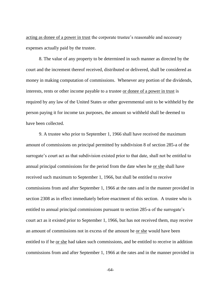acting as donee of a power in trust the corporate trustee's reasonable and necessary expenses actually paid by the trustee.

8. The value of any property to be determined in such manner as directed by the court and the increment thereof received, distributed or delivered, shall be considered as money in making computation of commissions. Whenever any portion of the dividends, interests, rents or other income payable to a trustee or donee of a power in trust is required by any law of the United States or other governmental unit to be withheld by the person paying it for income tax purposes, the amount so withheld shall be deemed to have been collected.

9. A trustee who prior to September 1, 1966 shall have received the maximum amount of commissions on principal permitted by subdivision 8 of section 285-a of the surrogate's court act as that subdivision existed prior to that date, shall not be entitled to annual principal commissions for the period from the date when he or she shall have received such maximum to September 1, 1966, but shall be entitled to receive commissions from and after September 1, 1966 at the rates and in the manner provided in section 2308 as in effect immediately before enactment of this section. A trustee who is entitled to annual principal commissions pursuant to section 285-a of the surrogate's court act as it existed prior to September 1, 1966, but has not received them, may receive an amount of commissions not in excess of the amount he or she would have been entitled to if he or she had taken such commissions, and be entitled to receive in addition commissions from and after September 1, 1966 at the rates and in the manner provided in

-64-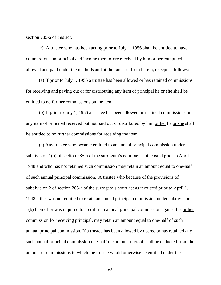section 285-a of this act.

10. A trustee who has been acting prior to July 1, 1956 shall be entitled to have commissions on principal and income theretofore received by him or her computed, allowed and paid under the methods and at the rates set forth herein, except as follows:

(a) If prior to July 1, 1956 a trustee has been allowed or has retained commissions for receiving and paying out or for distributing any item of principal he or she shall be entitled to no further commissions on the item.

(b) If prior to July 1, 1956 a trustee has been allowed or retained commissions on any item of principal received but not paid out or distributed by him or her he or she shall be entitled to no further commissions for receiving the item.

(c) Any trustee who became entitled to an annual principal commission under subdivision 1(b) of section 285-a of the surrogate's court act as it existed prior to April 1, 1948 and who has not retained such commission may retain an amount equal to one-half of such annual principal commission. A trustee who because of the provisions of subdivision 2 of section 285-a of the surrogate's court act as it existed prior to April 1, 1948 either was not entitled to retain an annual principal commission under subdivision 1(b) thereof or was required to credit such annual principal commission against his or her commission for receiving principal, may retain an amount equal to one-half of such annual principal commission. If a trustee has been allowed by decree or has retained any such annual principal commission one-half the amount thereof shall be deducted from the amount of commissions to which the trustee would otherwise be entitled under the

-65-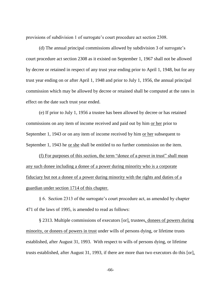provisions of subdivision 1 of surrogate's court procedure act section 2308.

(d) The annual principal commissions allowed by subdivision 3 of surrogate's court procedure act section 2308 as it existed on September 1, 1967 shall not be allowed by decree or retained in respect of any trust year ending prior to April 1, 1948, but for any trust year ending on or after April 1, 1948 and prior to July 1, 1956, the annual principal commission which may be allowed by decree or retained shall be computed at the rates in effect on the date such trust year ended.

(e) If prior to July 1, 1956 a trustee has been allowed by decree or has retained commissions on any item of income received and paid out by him or her prior to September 1, 1943 or on any item of income received by him or her subsequent to September 1, 1943 he or she shall be entitled to no further commission on the item.

(f) For purposes of this section, the term "donee of a power in trust" shall mean any such donee including a donee of a power during minority who is a corporate fiduciary but not a donee of a power during minority with the rights and duties of a guardian under section 1714 of this chapter.

§ 6. Section 2313 of the surrogate's court procedure act, as amended by chapter 471 of the laws of 1995, is amended to read as follows:

§ 2313. Multiple commissions of executors [or], trustees, donees of powers during minority, or donees of powers in trust under wills of persons dying, or lifetime trusts established, after August 31, 1993. With respect to wills of persons dying, or lifetime trusts established, after August 31, 1993, if there are more than two executors do this [or],

-66-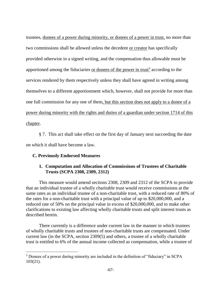trustees, donees of a power during minority, or donees of a power in trust, no more than two commissions shall be allowed unless the decedent or creator has specifically provided otherwise in a signed writing, and the compensation thus allowable must be apportioned among the fiduciaries or donees of the power in trust<sup>5</sup> according to the services rendered by them respectively unless they shall have agreed in writing among themselves to a different apportionment which, however, shall not provide for more than one full commission for any one of them, but this section does not apply to a donee of a power during minority with the rights and duties of a guardian under section 1714 of this chapter.

§ 7. This act shall take effect on the first day of January next succeeding the date on which it shall have become a law.

## **C. Previously Endorsed Measures**

 $\overline{a}$ 

## **1. Computation and Allocation of Commissions of Trustees of Charitable Trusts (SCPA 2308, 2309, 2312)**

This measure would amend sections 2308, 2309 and 2312 of the SCPA to provide that an individual trustee of a wholly charitable trust would receive commissions at the same rates as an individual trustee of a non-charitable trust, with a reduced rate of 80% of the rates for a non-charitable trust with a principal value of up to \$20,000,000, and a reduced rate of 50% on the principal value in excess of \$20,000,000, and to make other clarifications to existing law affecting wholly charitable trusts and split interest trusts as described herein.

There currently is a difference under current law in the manner in which trustees of wholly charitable trusts and trustees of non-charitable trusts are compensated. Under current law (in the SCPA, section 2309(5) and others, a trustee of a wholly charitable trust is entitled to 6% of the annual income collected as compensation, while a trustee of

<sup>5</sup> Donees of a power during minority are included in the definition of "fiduciary" in SCPA 103(21).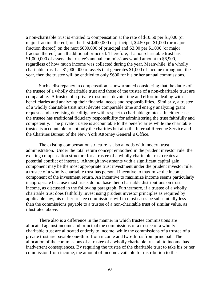a non-charitable trust is entitled to compensation at the rate of \$10.50 per \$1,000 (or major fraction thereof) on the first \$400,000 of principal, \$4.50 per \$1,000 (or major fraction thereof) on the next \$600,000 of principal and S3.00 per \$1,000 (or major fraction thereof) on all additional principal. Therefore, if a non-charitable trust has \$1,000,000 of assets, the trustee's annual commissions would amount to \$6,900, regardless of how much income was collected during the year. Meanwhile, if a wholly charitable trust has \$1,000,000 of assets that generates \$1,000 of income throughout the year, then the trustee will be entitled to only \$600 for his or her annual commissions.

Such a discrepancy in compensation is unwarranted considering that the duties of the trustee of a wholly charitable trust and those of the trustee of a non-charitable trust are comparable. A trustee of a private trust must devote time and effort in dealing with beneficiaries and analyzing their financial needs and responsibilities. Similarly, a trustee of a wholly charitable trust must devote comparable time and energy analyzing grant requests and exercising due diligence with respect to charitable grantees. In either case, the trustee has traditional fiduciary responsibility for administering the trust faithfully and competently. The private trustee is accountable to the beneficiaries while the charitable trustee is accountable to not only the charities but also the Internal Revenue Service and the Charities Bureau of the New York Attorney General 's Office.

The existing compensation structure is also at odds with modern trust administration. Under the total return concept embodied in the prudent investor rule, the existing compensation structure for a trustee of a wholly charitable trust creates a potential conflict of interest. Although investments with a significant capital gain component may be the most appropriate trust investment under the prudent investor rule, a trustee of a wholly charitable trust has personal incentive to maximize the income component of the investment return. An incentive to maximize income seems particularly inappropriate because most trusts do not base their charitable distributions on trust income, as discussed in the following paragraph. Furthermore, if a trustee of a wholly charitable trust does faithfully invest using prudent investor principles as required by applicable law, his or her trustee commissions will in most cases be substantially less than the commissions payable to a trustee of a non-charitable trust of similar value, as illustrated above.

There also is a difference in the manner in which trustee commissions are allocated against income and principal the commissions of a trustee of a wholly charitable trust are allocated entirely to income, while the commissions of a trustee of a private trust are payable one-third from income and two-thirds from principal. The allocation of the commissions of a trustee of a wholly charitable trust all to income has inadvertent consequences. By requiring the trustee of the charitable trust to take his or her commission from income, the amount of income available for distribution to the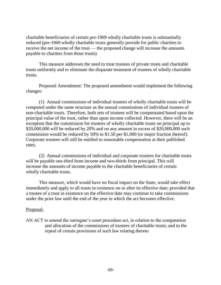charitable beneficiaries of certain pre-1969 wholly charitable trusts is substantially reduced (pre-1969 wholly charitable trusts generally provide for public charities to receive the net income of the trust — the proposed change will increase the amounts payable to charities from those trusts).

This measure addresses the need to treat trustees of private trusts and charitable trusts uniformly and to eliminate the disparate treatment of trustees of wholly charitable trusts.

Proposed Amendment: The proposed amendment would implement the following changes:

(1) Annual commissions of individual trustees of wholly charitable trusts will be computed under the same structure as the annual commissions of individual trustees of non-charitable trusts. Therefore, both sets of trustees will be compensated based upon the principal value of the trust, rather than upon income collected. However, there will be an exception that the commission for trustees of wholly charitable trusts on principal up to \$20,000,000 will be reduced by 20% and on any amount in excess of \$20,000,000 such commission would be reduced by 50% to \$1.50 per \$1,000 (or major fraction thereof). Corporate trustees will still be entitled to reasonable compensation at their published rates.

(2) Annual commissions of individual and corporate trustees for charitable trusts will be payable one-third from income and two-thirds from principal. This will increase the amounts of income payable to the charitable beneficiaries of certain wholly charitable trusts.

This measure, which would have no fiscal impact on the State, would take effect immediately and apply to all trusts in existence on or after its effective date; provided that a trustee of a trust in existence on the effective date may continue to take commissions under the prior law until the end of the year in which the act becomes effective.

## Proposal:

AN ACT to amend the surrogate's court procedure act, in relation to the computation and allocation of the commissions of trustees of charitable trusts; and to the repeal of certain provisions of such law relating thereto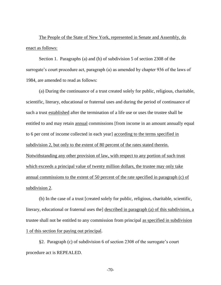The People of the State of New York, represented in Senate and Assembly, do enact as follows:

Section 1. Paragraphs (a) and (b) of subdivision 5 of section 2308 of the surrogate's court procedure act, paragraph (a) as amended by chapter 936 of the laws of 1984, are amended to read as follows:

(a) During the continuance of a trust created solely for public, religious, charitable, scientific, literary, educational or fraternal uses and during the period of continuance of such a trust established after the termination of a life use or uses the trustee shall be entitled to and may retain annual commissions [from income in an amount annually equal to 6 per cent of income collected in each year] according to the terms specified in subdivision 2, but only to the extent of 80 percent of the rates stated therein. Notwithstanding any other provision of law, with respect to any portion of such trust which exceeds a principal value of twenty million dollars, the trustee may only take annual commissions to the extent of 50 percent of the rate specified in paragraph (c) of subdivision 2.

(b) In the case of a trust [created solely for public, religious, charitable, scientific, literary, educational or fraternal uses the <u>described in paragraph</u> (a) of this subdivision, a trustee shall not be entitled to any commission from principal as specified in subdivision 1 of this section for paying out principal.

§2. Paragraph (c) of subdivision 6 of section 2308 of the surrogate's court procedure act is REPEALED.

-70-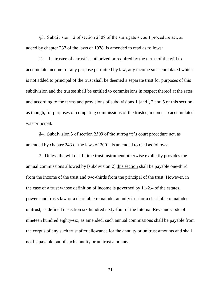§3. Subdivision 12 of section 2308 of the surrogate's court procedure act, as added by chapter 237 of the laws of 1978, is amended to read as follows:

12. If a trustee of a trust is authorized or required by the terms of the will to accumulate income for any purpose permitted by law, any income so accumulated which is not added to principal of the trust shall be deemed a separate trust for purposes of this subdivision and the trustee shall be entitled to commissions in respect thereof at the rates and according to the terms and provisions of subdivisions 1 [and], 2 and 5 of this section as though, for purposes of computing commissions of the trustee, income so accumulated was principal.

§4. Subdivision 3 of section 2309 of the surrogate's court procedure act, as amended by chapter 243 of the laws of 2001, is amended to read as follows:

3. Unless the will or lifetime trust instrument otherwise explicitly provides the annual commissions allowed by [subdivision 2] this section shall be payable one-third from the income of the trust and two-thirds from the principal of the trust. However, in the case of a trust whose definition of income is governed by 11-2.4 of the estates, powers and trusts law or a charitable remainder annuity trust or a charitable remainder unitrust, as defined in section six hundred sixty-four of the Internal Revenue Code of nineteen hundred eighty-six, as amended, such annual commissions shall be payable from the corpus of any such trust after allowance for the annuity or unitrust amounts and shall not be payable out of such annuity or unitrust amounts.

-71-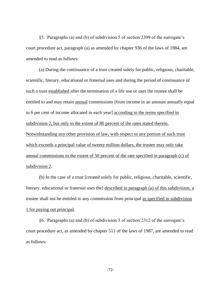§5. Paragraphs (a) and (b) of subdivision 5 of section 2309 of the surrogate's court procedure act, paragraph (a) as amended by chapter 936 of the laws of 1984, are amended to read as follows:

(a) During the continuance of a trust created solely for public, religious, charitable, scientific, literary, educational or fraternal uses and during the period of continuance of such a trust established after the termination of a life use or uses the trustee shall be entitled to and may retain annual commissions [from income in an amount annually equal to 6 per cent of income allocated in each year] according to the terms specified in subdivision 2, but only to the extent of 80 percent of the rates stated therein. Notwithstanding any other provision of law, with respect to any portion of such trust which exceeds a principal value of twenty million dollars, the trustee may only take annual commissions to the extent of 50 percent of the rate specified in paragraph (c) of subdivision 2.

(b) In the case of a trust [created solely for public, religious, charitable, scientific, literary, educational or fraternal uses the] described in paragraph (a) of this subdivision, a trustee shall not be entitled to any commission from principal as specified in subdivision 1 for paying out principal.

§6. Paragraphs (a) and (b) of subdivision 3 of section 2312 of the surrogate's court procedure act, as amended by chapter 511 of the laws of 1987, are amended to read as follows:

-72-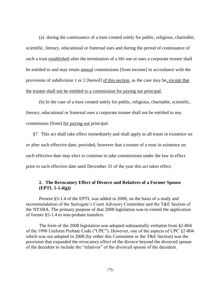(a) during the continuance of a trust created solely for public, religious, charitable, scientific, literary, educational or fraternal uses and during the period of continuance of such a trust established after the termination of a life use or uses a corporate trustee shall be entitled to and may retain annual commissions [from income] in accordance with the provisions of subdivision 1 or 2 [hereof] of this section, as the case may be, except that the trustee shall not be entitled to a commission for paying out principal.

(b) In the case of a trust created solely for public, religious, charitable, scientific, literary, educational or fraternal uses a corporate trustee shall not be entitled to any commission [from] for paying out principal.

§7. This act shall take effect immediately and shall apply to all trusts in existence on or after such effective date; provided, however that a trustee of a trust in existence on such effective date may elect to continue to take commissions under the law in effect prior to such effective date until December 31 of the year this act takes effect.

# **2. The Revocatory Effect of Divorce and Relatives of a Former Spouse (EPTL 5-1.4(g))**

Present §5-1.4 of the EPTL was added in 2008, on the basis of a study and recommendation of the Surrogate's Court Advisory Committee and the T&E Section of the NYSBA. The primary purpose of that 2008 legislation was to extend the application of former §5-1.4 to non-probate transfers.

The form of the 2008 legislation was adopted substantially verbatim from §2-804 of the 1990 Uniform Probate Code ("UPC"). However, one of the aspects of UPC §2-804 which was not adopted in 2008 (by either this Committee or the T&E Section) was the provision that expanded the revocatory effect of the divorce beyond the divorced spouse of the decedent to include the "relatives" of the divorced spouse of the decedent.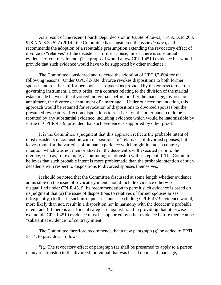As a result of the recent Fourth Dept. decision in *Estate of Lewis*, 114 A.D.3d 203, 978 N.Y.S.2d 527 (2014), the Committee has considered the issue *de novo*, and recommends the adoption of a rebuttable presumption extending the revocatory effect of divorce to "relatives" of the decedent's former spouse, unless there is substantial evidence of contrary intent. (The proposal would allow CPLR 4519 evidence but would provide that such evidence would have to be supported by other evidence.)

The Committee considered and rejected the adoption of UPC §2-804 for the following reasons. Under UPC §2-804, divorce revokes dispositions to both former spouses and relatives of former spouses "[e]xcept as provided by the express terms of a governing instrument, a court order, or a contract relating to the division of the marital estate made between the divorced individuals before or after the marriage, divorce, or annulment, the divorce or annulment of a marriage." Under our recommendation, this approach would be retained for revocation of dispositions to divorced spouses but the presumed revocatory effect on dispositions to relatives, on the other hand, could be rebutted by any substantial evidence, including evidence which would be inadmissible by virtue of CPLR 4519, provided that such evidence is supported by other proof.

It is the Committee's judgment that this approach reflects the probable intent of most decedents in connection with dispositions to "relatives" of divorced spouses, but leaves room for the varieties of human experience which might include a contrary intention which was not memorialized in the decedent's will executed prior to the divorce, such as, for example, a continuing relationship with a step child. The Committee believes that such probable intent is more problematic than the probable intention of such decedents with respect to dispositions to divorced spouses themselves.

It should be noted that the Committee discussed at some length whether evidence admissible on the issue of revocatory intent should include evidence otherwise disqualified under CPLR 4519. Its recommendation to permit such evidence is based on its judgment that (a) the issue of dispositions to relatives of former spouses arises infrequently, (b) that in such infrequent instances excluding CPLR 4519 evidence would, more likely than not, result in a disposition not in harmony with the decedent's probable intent, and (c) there is a sufficient safeguard against fraud in providing that otherwise excludible CPLR 4519 evidence must be supported by other evidence before there can be "substantial evidence" of contrary intent.

The Committee therefore recommends that a new paragraph (g) be added to EPTL 5-1.4, to provide as follows:

"(g) The revocatory effect of paragraph (a) shall be presumed to apply to a person in any relationship to the divorced individual that was based upon said marriage,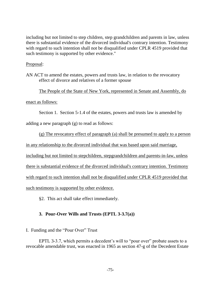including but not limited to step children, step grandchildren and parents in law, unless there is substantial evidence of the divorced individual's contrary intention. Testimony with regard to such intention shall not be disqualified under CPLR 4519 provided that such testimony is supported by other evidence."

## Proposal:

AN ACT to amend the estates, powers and trusts law, in relation to the revocatory effect of divorce and relatives of a former spouse

The People of the State of New York, represented in Senate and Assembly, do

enact as follows:

Section 1. Section 5-1.4 of the estates, powers and trusts law is amended by

adding a new paragraph (g) to read as follows:

(g) The revocatory effect of paragraph (a) shall be presumed to apply to a person

in any relationship to the divorced individual that was based upon said marriage,

including but not limited to stepchildren, stepgrandchildren and parents-in-law, unless

there is substantial evidence of the divorced individual's contrary intention. Testimony

with regard to such intention shall not be disqualified under CPLR 4519 provided that

such testimony is supported by other evidence.

§2. This act shall take effect immediately.

# **3. Pour-Over Wills and Trusts (EPTL 3-3.7(a))**

I. Funding and the "Pour Over" Trust

EPTL 3-3.7, which permits a decedent's will to "pour over" probate assets to a revocable amendable trust, was enacted in 1965 as section 47-g of the Decedent Estate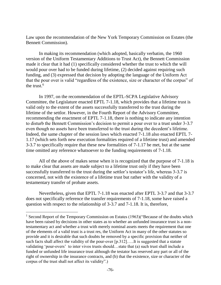Law upon the recommendation of the New York Temporary Commission on Estates (the Bennett Commission).

In making its recommendation (which adopted, basically verbatim, the 1960 version of the Uniform Testamentary Additions to Trust Act), the Bennett Commission made it clear that it had (1) specifically considered whether the trust to which the will would pour over had to be funded during lifetime, (2) decided against requiring such funding, and (3) expressed that decision by adopting the language of the Uniform Act that the pour over is valid "regardless of the existence, size or character of the corpus" of the trust. $6$ 

In 1997, on the recommendation of the EPTL-SCPA Legislative Advisory Committee, the Legislature enacted EPTL 7-1.18, which provides that a lifetime trust is valid only to the extent of the assets successfully transferred to the trust during the lifetime of the settlor. However, in the Fourth Report of the Advisory Committee, recommending the enactment of EPTL 7-1.18, there is nothing to indicate any intention to disturb the Bennett Commission's decision to permit a pour over to a trust under 3-3.7 even though no assets have been transferred to the trust during the decedent's lifetime. Indeed, the same chapter of the session laws which enacted 7-1.18 also enacted EPTL 7- 1.17 (which sets forth new execution formalities required of a lifetime trust) and amended 3-3.7 to specifically require that these new formalities of 7-1.17 be met, but at the same time omitted any reference whatsoever to the funding requirements of 7-1.18.

All of the above of makes sense when it is recognized that the purpose of 7-1.18 is to make clear that assets are made subject to a lifetime trust only if they have been successfully transferred to the trust during the settlor's testator's life, whereas 3-3.7 is concerned, not with the existence of a lifetime trust but rather with the validity of a testamentary transfer of probate assets.

Nevertheless, given that EPTL 7-1.18 was enacted after EPTL 3-3.7 and that 3-3.7 does not specifically reference the transfer requirements of 7-1.18, some have raised a question with respect to the relationship of 3-3.7 and 7-1.18. It is, therefore,

 $\overline{a}$ 

<sup>&</sup>lt;sup>1</sup> Second Report of the Temporary Commission on Estates (1963)("Because of the doubts which have been raised by decisions in other states as to whether an unfunded insurance trust is a nontestamentary act and whether a trust with merely nominal assets meets the requirement that one of the elements of a valid trust is a trust res, the Uniform Act in many of the other statutes so provide and it is desirable that such doubts be removed by a specific provision that neither of such facts shall affect the validity of the pour-over  $[p.312]$ .....It is suggested that a statute validating 'pour-overs' to inter vivos trusts should…state that (a) such trust shall include a funded or unfunded life insurance trust although the testator has reserved any part or all of the right of ownership in the insurance contracts, and (b) that the existence, size or character of the corpus of the trust shall not affect its validity".)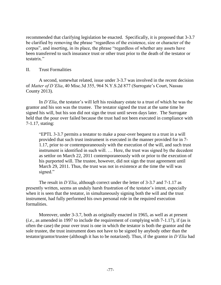recommended that clarifying legislation be enacted. Specifically, it is proposed that 3-3.7 be clarified by removing the phrase "regardless of the existence, size or character of the corpus", and inserting, in its place, the phrase "regardless of whether any assets have been transferred to such insurance trust or other trust prior to the death of the testator or testatrix."

## II. Trust Formalities

A second, somewhat related, issue under 3-3.7 was involved in the recent decision of *Matter of D'Elia*, 40 Misc.3d 355, 964 N.Y.S.2d 877 (Surrogate's Court, Nassau County 2013).

In *D'Elia*, the testator's will left his residuary estate to a trust of which he was the grantor and his son was the trustee. The testator signed the trust at the same time he signed his will, but his son did not sign the trust until seven days later. The Surrogate held that the pour over failed because the trust had not been executed in compliance with 7-1.17, stating:

"EPTL 3-3.7 permits a testator to make a pour-over bequest to a trust in a will provided that such trust instrument is executed in the manner provided for in 7- 1.17, prior to or contemporaneously with the execution of the will, and such trust instrument is identified in such will. … Here, the trust was signed by the decedent as settlor on March 22, 2011 contemporaneously with or prior to the execution of his purported will. The trustee, however, did not sign the trust agreement until March 29, 2011. Thus, the trust was not in existence at the time the will was signed."

The result in *D'Elia*, although correct under the letter of 3-3.7 and 7-1.17 as presently written, seems an unduly harsh frustration of the testator's intent, especially when it is seen that the testator, in simultaneously signing both the will and the trust instrument, had fully performed his own personal role in the required execution formalities.

Moreover, under 3-3.7, both as originally enacted in 1965, as well as at present (*i.e.*, as amended in 1997 to include the requirement of complying with 7-1.17), if (as is often the case) the pour over trust is one in which the testator is both the grantor and the sole trustee, the trust instrument does not have to be signed by anybody other than the testator/grantor/trustee (although it has to be notarized). Thus, if the grantor in *D'Elia* had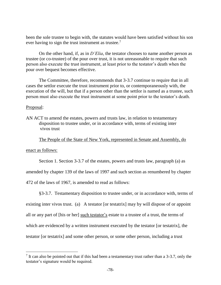been the sole trustee to begin with, the statutes would have been satisfied without his son ever having to sign the trust instrument as trustee. $7$ 

On the other hand, if, as in *D'Elia*, the testator chooses to name another person as trustee (or co-trustee) of the pour over trust, it is not unreasonable to require that such person also execute the trust instrument, at least prior to the testator's death when the pour over bequest becomes effective.

The Committee, therefore, recommends that 3-3.7 continue to require that in all cases the settlor execute the trust instrument prior to, or contemporaneously with, the execution of the will, but that if a person other than the settlor is named as a trustee, such person must also execute the trust instrument at some point prior to the testator's death.

### Proposal:

AN ACT to amend the estates, powers and trusts law, in relation to testamentary disposition to trustee under, or in accordance with, terms of existing inter vivos trust

The People of the State of New York, represented in Senate and Assembly, do

enact as follows:

 $\overline{a}$ 

Section 1. Section 3-3.7 of the estates, powers and trusts law, paragraph (a) as

amended by chapter 139 of the laws of 1997 and such section as renumbered by chapter

472 of the laws of 1967, is amended to read as follows:

§3-3.7. Testamentary disposition to trustee under, or in accordance with, terms of existing inter vivos trust. (a) A testator [or testatrix] may by will dispose of or appoint all or any part of [his or her] such testator's estate to a trustee of a trust, the terms of which are evidenced by a written instrument executed by the testator [or testatrix], the testator [or testatrix] and some other person, or some other person, including a trust

 $<sup>7</sup>$  It can also be pointed out that if this had been a testamentary trust rather than a 3-3.7, only the</sup> testator's signature would be required.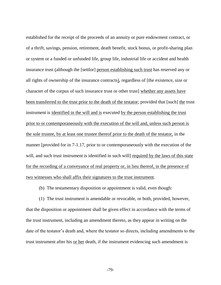established for the receipt of the proceeds of an annuity or pure endowment contract, or of a thrift, savings, pension, retirement, death benefit, stock bonus, or profit-sharing plan or system or a funded or unfunded life, group life, industrial life or accident and health insurance trust (although the [settlor] person establishing such trust has reserved any or all rights of ownership of the insurance contracts), regardless of [the existence, size or character of the corpus of such insurance trust or other trust] whether any assets have been transferred to the trust prior to the death of the testator; provided that [such] the trust instrument is identified in the will and is executed by the person establishing the trust prior to or contemporaneously with the execution of the will and, unless such person is the sole trustee, by at least one trustee thereof prior to the death of the testator, in the manner [provided for in 7-1.17, prior to or contemporaneously with the execution of the will, and such trust instrument is identified in such will required by the laws of this state for the recording of a conveyance of real property or, in lieu thereof, in the presence of two witnesses who shall affix their signatures to the trust instrument.

(b) The testamentary disposition or appointment is valid, even though:

(1) The trust instrument is amendable or revocable, or both, provided, however, that the disposition or appointment shall be given effect in accordance with the terms of the trust instrument, including an amendment thereto, as they appear in writing on the date of the testator's death and, where the testator so directs, including amendments to the trust instrument after his or her death, if the instrument evidencing such amendment is

-79-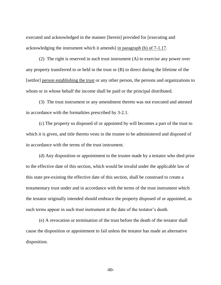executed and acknowledged in the manner [herein] provided for [executing and acknowledging the instrument which it amends] in paragraph (b) of 7-1.17.

(2) The right is reserved in such trust instrument (A) to exercise any power over any property transferred to or held in the trust or (B) to direct during the lifetime of the [settlor] person establishing the trust or any other person, the persons and organizations to whom or in whose behalf the income shall be paid or the principal distributed.

(3) The trust instrument or any amendment thereto was not executed and attested in accordance with the formalities prescribed by 3-2.1.

(c) The property so disposed of or appointed by will becomes a part of the trust to which it is given, and title thereto vests in the trustee to be administered and disposed of in accordance with the terms of the trust instrument.

(d) Any disposition or appointment to the trustee made by a testator who died prior to the effective date of this section, which would be invalid under the applicable law of this state pre-existing the effective date of this section, shall be construed to create a testamentary trust under and in accordance with the terms of the trust instrument which the testator originally intended should embrace the property disposed of or appointed, as such terms appear in such trust instrument at the date of the testator's death.

(e) A revocation or termination of the trust before the death of the testator shall cause the disposition or appointment to fail unless the testator has made an alternative disposition.

-80-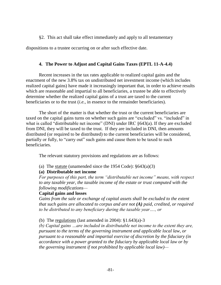# §2. This act shall take effect immediately and apply to all testamentary

dispositions to a trustee occurring on or after such effective date.

# **4. The Power to Adjust and Capital Gains Taxes (EPTL 11-A-4.4)**

Recent increases in the tax rates applicable to realized capital gains and the enactment of the new 3.8% tax on undistributed net investment income (which includes realized capital gains) have made it increasingly important that, in order to achieve results which are reasonable and impartial to all beneficiaries, a trustee be able to effectively determine whether the realized capital gains of a trust are taxed to the current beneficiaries or to the trust (*i.e.*, in essence to the remainder beneficiaries).

The short of the matter is that whether the trust or the current beneficiaries are taxed on the capital gains turns on whether such gains are "excluded" vs. "included" in what is called "distributable net income" (DNI) under IRC §643(a). If they are excluded from DNI, they will be taxed to the trust. If they are included in DNI, then amounts distributed (or required to be distributed) to the current beneficiaries will be considered, partially or fully, to "carry out" such gains and cause them to be taxed to such beneficiaries.

The relevant statutory provisions and regulations are as follows:

(a) The statute (unamended since the 1954 Code): §643(a)(3)

# **(a) Distributable net income**

*For purposes of this part, the term "distributable net income" means, with respect to any taxable year, the taxable income of the estate or trust computed with the following modifications—*

# **Capital gains and losses**

*Gains from the sale or exchange of capital assets shall be excluded to the extent that such gains are allocated to corpus and are not (A) paid, credited, or required to be distributed to any beneficiary during the taxable year…., or*

(b) The regulations (last amended in 2004):  $\S1.643(a) - 3$ 

*(b) Capital gains …are included in distributable net income to the extent they are, pursuant to the terms of the governing instrument and applicable local law, or pursuant to a reasonable and impartial exercise of discretion by the fiduciary (in accordance with a power granted to the fiduciary by applicable local law or by the governing instrument if not prohibited by applicable local law)—*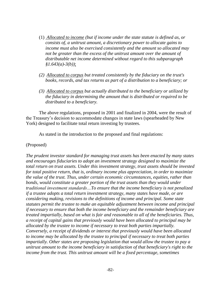- (1) *Allocated to income (but if income under the state statute is defined as, or consists of, a unitrust amount, a discretionary power to allocate gains to income must also be exercised consistently and the amount so allocated may not be greater than the excess of the unitrust amount over the amount of distributable net income determined without regard to this subparagraph §1.643(a)-3(b))*;
- *(2) Allocated to corpus but treated consistently by the fiduciary on the trust's books, records, and tax returns as part of a distribution to a beneficiary; or*
- *(3) Allocated to corpus but actually distributed to the beneficiary or utilized by the fiduciary in determining the amount that is distributed or required to be distributed to a beneficiary.*

The above regulations, proposed in 2001 and finalized in 2004, were the result of the Treasury's decision to accommodate changes in state laws (spearheaded by New York) designed to facilitate total return investing by trustees.

As stated in the introduction to the proposed and final regulations:

## (Proposed)

*The prudent investor standard for managing trust assets has been enacted by many states and encourages fiduciaries to adopt an investment strategy designed to maximize the total return on trust assets. Under this investment strategy, trust assets should be invested for total positive return, that is, ordinary income plus appreciation, in order to maximize the value of the trust. Thus, under certain economic circumstances, equities, rather than bonds, would constitute a greater portion of the trust assets than they would under traditional investment standards…To ensure that the income beneficiary is not penalized if a trustee adopts a total return investment strategy, many states have made, or are considering making, revisions to the definitions of income and principal. Some state statutes permit the trustee to make an equitable adjustment between income and principal if necessary to ensure that both the income beneficiary and the remainder beneficiary are treated impartially, based on what is fair and reasonable to all of the beneficiaries. Thus, a receipt of capital gains that previously would have been allocated to principal may be allocated by the trustee to income if necessary to treat both parties impartially. Conversely, a receipt of dividends or interest that previously would have been allocated to income may be allocated by the trustee to principal if necessary to treat both parties impartially. Other states are proposing legislation that would allow the trustee to pay a unitrust amount to the income beneficiary in satisfaction of that beneficiary's right to the income from the trust. This unitrust amount will be a fixed percentage, sometimes*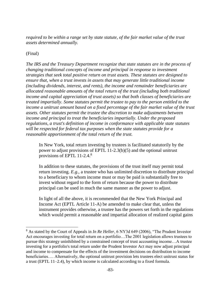*required to be within a range set by state statute, of the fair market value of the trust assets determined annually.*

(Final)

 $\overline{a}$ 

*The IRS and the Treasury Department recognize that state statutes are in the process of changing traditional concepts of income and principal in response to investment strategies that seek total positive return on trust assets. These statutes are designed to ensure that, when a trust invests in assets that may generate little traditional income (including dividends, interest, and rents), the income and remainder beneficiaries are allocated reasonable amounts of the total return of the trust (including both traditional income and capital appreciation of trust assets) so that both classes of beneficiaries are treated impartially. Some statutes permit the trustee to pay to the person entitled to the income a unitrust amount based on a fixed percentage of the fair market value of the trust assets. Other statutes permit the trustee the discretion to make adjustments between income and principal to treat the beneficiaries impartially. Under the proposed regulations, a trust's definition of income in conformance with applicable state statutes will be respected for federal tax purposes when the state statutes provide for a reasonable apportionment of the total return of the trust.*

In New York, total return investing by trustees is facilitated statutorily by the power to adjust provisions of EPTL 11-2.3(b)(5) and the optional unitrust provisions of EPTL 11-2.4.<sup>8</sup>

In addition to these statutes, the provisions of the trust itself may permit total return investing. *E.g.*, a trustee who has unlimited discretion to distribute principal to a beneficiary to whom income must or may be paid is substantially free to invest without regard to the form of return because the power to distribute principal can be used in much the same manner as the power to adjust.

In light of all the above, it is recommended that the New York Principal and Income Act (EPTL Article 11-A) be amended to make clear that, unless the instrument provides otherwise, a trustee has the powers set forth in the regulations which would permit a reasonable and impartial allocation of realized capital gains

<sup>8</sup> As stated by the Court of Appeals in *In Re Heller*, 6 NY3d 649 (2006), "The Prudent Investor Act encourages investing for total return on a portfolio…The 2001 legislation allows trustees to pursue this strategy uninhibited by a constrained concept of trust accounting income…A trustee investing for a portfolio's total return under the Prudent Investor Act may now adjust principal and income to compensate for the effects of the investment decisions on distribution to income beneficiaries…. Alternatively, the optional unitrust provision lets trustees elect unitrust status for a trust (EPTL 11–2.4), by which income is calculated according to a fixed formula.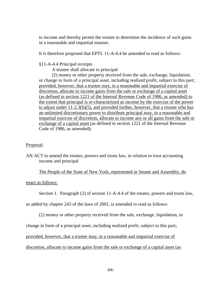to income and thereby permit the trustee to determine the incidence of such gains in a reasonable and impartial manner.

It is therefore proposed that EPTL 11-A-4.4 be amended to read as follows:

# §11-A-4.4 Principal receipts

A trustee shall allocate to principal:

(2) money or other property received from the sale, exchange, liquidation, or change in form of a principal asset, including realized profit, subject to this part; provided, however, that a trustee may, in a reasonable and impartial exercise of discretion, allocate to income gains from the sale or exchange of a capital asset (as defined in section 1221 of the Internal Revenue Code of 1986, as amended) to the extent that principal is re-characterized as income by the exercise of the power to adjust under 11-2.3(b)(5), and provided further, however, that a trustee who has an unlimited discretionary power to distribute principal may, in a reasonable and impartial exercise of discretion, allocate to income any or all gains from the sale or exchange of a capital asset (as defined in section 1221 of the Internal Revenue Code of 1986, as amended);

## Proposal:

AN ACT to amend the estates, powers and trusts law, in relation to trust accounting income and principal

The People of the State of New York, represented in Senate and Assembly, do

enact as follows:

Section 1. Paragraph (2) of section 11-A-4.4 of the estates, powers and trusts law,

as added by chapter 243 of the laws of 2001, is amended to read as follows:

(2) money or other property received from the sale, exchange, liquidation, or

change in form of a principal asset, including realized profit, subject to this part;

provided, however, that a trustee may, in a reasonable and impartial exercise of

discretion, allocate to income gains from the sale or exchange of a capital asset (as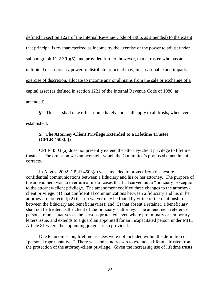defined in section 1221 of the Internal Revenue Code of 1986, as amended) to the extent that principal is re-characterized as income by the exercise of the power to adjust under subparagraph 11-2.3(b)(5), and provided further, however, that a trustee who has an unlimited discretionary power to distribute principal may, in a reasonable and impartial exercise of discretion, allocate to income any or all gains from the sale or exchange of a capital asset (as defined in section 1221 of the Internal Revenue Code of 1986, as amended);

§2. This act shall take effect immediately and shall apply to all trusts, whenever established.

# **5. The Attorney-Client Privilege Extended to a Lifetime Trustee (CPLR 4503(a))**

CPLR 4503 (a) does not presently extend the attorney-client privilege to lifetime trustees. The omission was an oversight which the Committee's proposed amendment corrects.

In August 2002, CPLR 4503(a) was amended to protect from disclosure confidential communications between a fiduciary and his or her attorney. The purpose of the amendment was to overturn a line of cases that had carved out a "fiduciary" exception to the attorney-client privilege. The amendment codified three changes to the attorneyclient privilege: (1) that confidential communications between a fiduciary and his or her attorney are protected; (2) that no waiver may be found by virtue of the relationship between the fiduciary and beneficiary(ies); and (3) that absent a retainer, a beneficiary shall not be treated as the client of the fiduciary's attorney. The amendment references personal representatives as the persons protected, even where preliminary or temporary letters issue, and extends to a guardian appointed for an incapacitated person under MHL Article 81 where the appointing judge has so provided.

Due to an omission, lifetime trustees were not included within the definition of "personal representative." There was and is no reason to exclude a lifetime trustee from the protection of the attorney-client privilege. Given the increasing use of lifetime trusts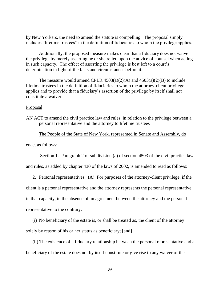by New Yorkers, the need to amend the statute is compelling. The proposal simply includes "lifetime trustees" in the definition of fiduciaries to whom the privilege applies.

Additionally, the proposed measure makes clear that a fiduciary does not waive the privilege by merely asserting he or she relied upon the advice of counsel when acting in such capacity. The effect of asserting the privilege is best left to a court's determination in light of the facts and circumstances before it.

The measure would amend CPLR  $4503(a)(2)(A)$  and  $4503(a)(2)(B)$  to include lifetime trustees in the definition of fiduciaries to whom the attorney-client privilege applies and to provide that a fiduciary's assertion of the privilege by itself shall not constitute a waiver.

#### Proposal:

AN ACT to amend the civil practice law and rules, in relation to the privilege between a personal representative and the attorney to lifetime trustees

The People of the State of New York, represented in Senate and Assembly, do

enact as follows:

Section 1. Paragraph 2 of subdivision (a) of section 4503 of the civil practice law

and rules, as added by chapter 430 of the laws of 2002, is amended to read as follows:

2. Personal representatives. (A) For purposes of the attorney-client privilege, if the

client is a personal representative and the attorney represents the personal representative

in that capacity, in the absence of an agreement between the attorney and the personal

representative to the contrary:

(i) No beneficiary of the estate is, or shall be treated as, the client of the attorney solely by reason of his or her status as beneficiary; [and]

(ii) The existence of a fiduciary relationship between the personal representative and a beneficiary of the estate does not by itself constitute or give rise to any waiver of the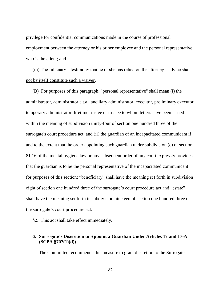privilege for confidential communications made in the course of professional employment between the attorney or his or her employee and the personal representative who is the client; and

(iii) The fiduciary's testimony that he or she has relied on the attorney's advice shall not by itself constitute such a waiver.

(B) For purposes of this paragraph, "personal representative" shall mean (i) the administrator, administrator c.t.a., ancillary administrator, executor, preliminary executor, temporary administrator, lifetime trustee or trustee to whom letters have been issued within the meaning of subdivision thirty-four of section one hundred three of the surrogate's court procedure act, and (ii) the guardian of an incapacitated communicant if and to the extent that the order appointing such guardian under subdivision (c) of section 81.16 of the mental hygiene law or any subsequent order of any court expressly provides that the guardian is to be the personal representative of the incapacitated communicant for purposes of this section; "beneficiary" shall have the meaning set forth in subdivision eight of section one hundred three of the surrogate's court procedure act and "estate" shall have the meaning set forth in subdivision nineteen of section one hundred three of the surrogate's court procedure act.

§2. This act shall take effect immediately.

## **6. Surrogate's Discretion to Appoint a Guardian Under Articles 17 and 17-A (SCPA §707(1)(d))**

The Committee recommends this measure to grant discretion to the Surrogate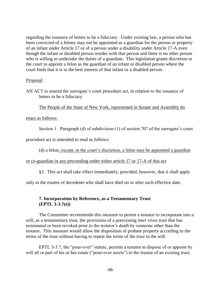regarding the issuance of letters to be a fiduciary. Under existing law, a person who has been convicted of a felony may not be appointed as a guardian for the person or property of an infant under Article 17 or of a person under a disability under Article 17-A even though the infant or disabled person resides with that person and there is no other person who is willing to undertake the duties of a guardian. This legislation grants discretion to the court to appoint a felon as the guardian of an infant or disabled person where the court finds that it is in the best interest of that infant or a disabled person.

### Proposal:

AN ACT to amend the surrogate's court procedure act, in relation to the issuance of letters to be a fiduciary

The People of the State of New York, represented in Senate and Assembly do

## enact as follows:

Section 1. Paragraph (d) of subdivision (1) of section 707 of the surrogate's court

procedure act is amended to read as follows:

(d) a felon; except, in the court's discretion, a felon may be appointed a guardian

or co-guardian in any proceeding under either article 17 or 17-A of this act

§2. This act shall take effect immediately; provided, however, that it shall apply

only to the estates of decedents who shall have died on or after such effective date.

# **7. Incorporation by Reference, as a Testamentary Trust (EPTL 3-3.7(e))**

The Committee recommends this measure to permit a testator to incorporate into a will, as a testamentary trust, the provisions of a preexisting *inter vivos* trust that has terminated or been revoked prior to the testator's death by someone other than the testator. This measure would allow the disposition of probate property according to the terms of the trust without having to repeat the terms of the trust in the will.

EPTL 3-3.7, the "pour-over" statute, permits a testator to dispose of or appoint by will all or part of his or her estate ("pour-over assets") to the trustee of an existing trust,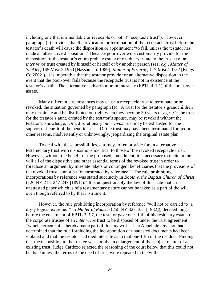including one that is amendable or revocable or both ("receptacle trust"). However, paragraph (e) provides that the revocation or termination of the receptacle trust before the testator's death will cause the disposition or appointment "to fail, unless the testator has made an alternative disposition." Because pour-over wills customarily provide for the disposition of the testator's entire probate estate or residuary estate to the trustee of an *inter vivos* trust created by himself or herself or by another person (*see*, *e.g.*, *Matter of Sackler*, 145 Misc.2d 950 [Nassau Co. 1989]; *Matter of Pozarny*, 177 Misc.2d752 [Kings Co.2002]), it is imperative that the testator provide for an alternative disposition in the event that the pour-over fails because the receptacle trust is not in existence at the testator's death. The alternative is distribution in intestacy (EPTL 4-1.1) of the pour-over assets.

Many different circumstances may cause a receptacle trust to terminate or be revoked, the situation governed by paragraph (e). A trust for the testator's grandchildren may terminate and be distributed outright when they become 30 years of age. Or the trust for the testator's aunt, created by the testator's spouse, may be revoked without the testator's knowledge. Or a discretionary *inter vivos* trust may be exhausted for the support or benefit of the beneficiaries. Or the trust may have been terminated for tax or other reasons, inadvertently or unknowingly, jeopardizing the original estate plan.

To deal with these possibilities, attorneys often provide for an alternative testamentary trust with dispositions identical to those of the revoked receptacle trust. However, without the benefit of the proposed amendment, it is necessary to recite in the will all of the dispositive and other essential terms of the revoked trust in order to foreclose an argument by intestate takers or contingent beneficiaries that the provisions of the revoked trust cannot be "incorporated by reference." The rule prohibiting incorporations by reference was stated succinctly in *Booth v. the Baptist Church of Christ* (126 NY 215, 247-248 [1891]): "It is unquestionably the law of this state that an unattested paper which is of a testamentary nature cannot be taken as a part of the will even though referred to by that instrument."

However, the rule prohibiting incorporation by reference "will not be carried to 'a dryly logical extreme.'" In *Matter of Rausch* (258 NY 327, 331 [1932]), decided long before the enactment of EPTL 3-3.7, the testator gave one-fifth of his residuary estate to the corporate trustee of an *inter vivos* trust to be disposed of under the trust agreement "which agreement is hereby made part of this my will." The Appellate Division had determined that the rule forbidding the incorporation of unattested documents had been violated and that the testator had died intestate as to that one-fifth of the residue. Finding that the disposition to the trustee was simply an enlargement of the subject matter of an existing trust, Judge Cardozo rejected the reasoning of the court below that this could not be done unless the terms of the deed of trust were repeated in the will.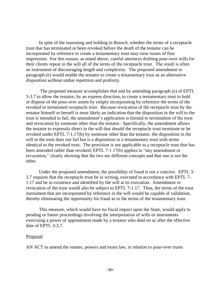In spite of the reasoning and holding in *Rausch*, whether the terms of a receptacle trust that has terminated or been revoked before the death of the testator can be incorporated by reference to create a testamentary trust may raise issues of first impression. For this reason, as noted above, careful attorneys drafting pour-over wills for their clients repeat in the will all of the terms of the receptacle trust. The result is often an instrument of discouraging length and complexity. The proposed amendment to paragraph (e) would enable the testator to create a testamentary trust as an alternative disposition without undue repetition and prolixity.

The proposed measure accomplishes that end by amending paragraph (e) of EPTL 3-3.7 to allow the testator, by an express direction, to create a testamentary trust to hold or dispose of the pour-over assets by simply incorporating by reference the terms of the revoked or terminated receptacle trust. Because revocation of the receptacle trust by the testator himself or herself is most likely an indication that the disposition in the will to the trust is intended to fail, the amendment's application is limited to termination of the trust and revocation by someone other than the testator. Specifically, the amendment allows the testator to expressly direct in the will that should the receptacle trust terminate or be revoked under EPTL 7-1.17(b) by someone other than the testator, the disposition in the will to the trust does not fail but is a disposition to a testamentary trust with terms identical to the revoked trust. The provision is not applicable to a receptacle trust that has been amended rather than revoked; EPTL 7-1.17(b) applies to "any amendment or revocation," clearly showing that the two are different concepts and that one is not the other.

Under the proposed amendment, the possibility of fraud is not a concern. EPTL 3- 3.7 requires that the receptacle trust be in writing, executed in accordance with EPTL 7- 1.17 and be in existence and identified by the will at its execution. Amendment or revocation of the trust would also be subject to EPTL 7-1.17. Thus, the terms of the trust instrument that are incorporated by reference in the will would be capable of validation, thereby eliminating the opportunity for fraud as to the terms of the testamentary trust.

This measure, which would have no fiscal impact upon the State, would apply to pending or future proceedings involving the interpretation of wills or instruments exercising a power of appointment made by a testator who died on or after the effective date of EPTL 3-3.7.

### Proposal:

AN ACT to amend the estates, powers and trusts law, in relation to pour-over trusts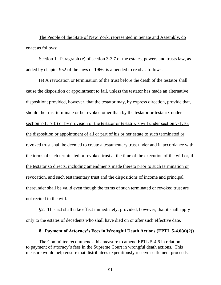The People of the State of New York, represented in Senate and Assembly, do enact as follows:

Section 1. Paragraph (e) of section 3-3.7 of the estates, powers and trusts law, as added by chapter 952 of the laws of 1966, is amended to read as follows:

(e) A revocation or termination of the trust before the death of the testator shall cause the disposition or appointment to fail, unless the testator has made an alternative disposition; provided, however, that the testator may, by express direction, provide that, should the trust terminate or be revoked other than by the testator or testatrix under section 7-1.17(b) or by provision of the testator or testatrix's will under section 7-1.16, the disposition or appointment of all or part of his or her estate to such terminated or revoked trust shall be deemed to create a testamentary trust under and in accordance with the terms of such terminated or revoked trust at the time of the execution of the will or, if the testator so directs, including amendments made thereto prior to such termination or revocation, and such testamentary trust and the dispositions of income and principal thereunder shall be valid even though the terms of such terminated or revoked trust are not recited in the will.

§2. This act shall take effect immediately; provided, however, that it shall apply only to the estates of decedents who shall have died on or after such effective date.

#### **8. Payment of Attorney's Fees in Wrongful Death Actions (EPTL 5-4.6(a)(2))**

The Committee recommends this measure to amend EPTL 5-4.6 in relation to payment of attorney's fees in the Supreme Court in wrongful death actions. This measure would help ensure that distributees expeditiously receive settlement proceeds.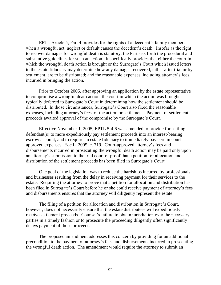EPTL Article 5, Part 4 provides for the rights of a decedent's family members when a wrongful act, neglect or default causes the decedent's death. Insofar as the right to recover damages for wrongful death is statutory, the Part sets forth the procedural and substantive guidelines for such an action. It specifically provides that either the court in which the wrongful death action is brought or the Surrogate's Court which issued letters to the estate fiduciary may determine how any damages recovered, either after trial or by settlement, are to be distributed; and the reasonable expenses, including attorney's fees, incurred in bringing the action.

Prior to October 2005, after approving an application by the estate representative to compromise a wrongful death action, the court in which the action was brought typically deferred to Surrogate's Court in determining how the settlement should be distributed. In those circumstances, Surrogate's Court also fixed the reasonable expenses, including attorney's fees, of the action or settlement. Payment of settlement proceeds awaited approval of the compromise by the Surrogate's Court.

Effective November 1, 2005, EPTL 5-4.6 was amended to provide for settling defendant(s) to more expeditiously pay settlement proceeds into an interest-bearing escrow account, and to require an estate fiduciary to immediately pay certain courtapproved expenses. *See* L. 2005, c. 719. Court-approved attorney's fees and disbursements incurred in prosecuting the wrongful death action may be paid only upon an attorney's submission to the trial court of proof that a petition for allocation and distribution of the settlement proceeds has been filed in Surrogate's Court.

One goal of the legislation was to reduce the hardships incurred by professionals and businesses resulting from the delay in receiving payment for their services to the estate. Requiring the attorney to prove that a petition for allocation and distribution has been filed in Surrogate's Court before he or she could receive payment of attorney's fees and disbursements ensures that the attorney will diligently represent the estate.

The filing of a petition for allocation and distribution in Surrogate's Court, however, does not necessarily ensure that the estate distributees will expeditiously receive settlement proceeds. Counsel's failure to obtain jurisdiction over the necessary parties in a timely fashion or to prosecute the proceeding diligently often significantly delays payment of those proceeds.

The proposed amendment addresses this concern by providing for an additional precondition to the payment of attorney's fees and disbursements incurred in prosecuting the wrongful death action. The amendment would require the attorney to submit an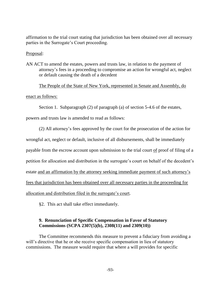affirmation to the trial court stating that jurisdiction has been obtained over all necessary parties in the Surrogate's Court proceeding.

## Proposal:

AN ACT to amend the estates, powers and trusts law, in relation to the payment of attorney's fees in a proceeding to compromise an action for wrongful act, neglect or default causing the death of a decedent

The People of the State of New York, represented in Senate and Assembly, do

### enact as follows:

Section 1. Subparagraph (2) of paragraph (a) of section 5-4.6 of the estates,

powers and trusts law is amended to read as follows:

(2) All attorney's fees approved by the court for the prosecution of the action for wrongful act, neglect or default, inclusive of all disbursements, shall be immediately payable from the escrow account upon submission to the trial court of proof of filing of a petition for allocation and distribution in the surrogate's court on behalf of the decedent's estate and an affirmation by the attorney seeking immediate payment of such attorney's fees that jurisdiction has been obtained over all necessary parties in the proceeding for allocation and distribution filed in the surrogate's court.

§2. This act shall take effect immediately.

# **9. Renunciation of Specific Compensation in Favor of Statutory Commissions (SCPA 2307(5)(b), 2308(11) and 2309(10))**

The Committee recommends this measure to prevent a fiduciary from avoiding a will's directive that he or she receive specific compensation in lieu of statutory commissions. The measure would require that where a will provides for specific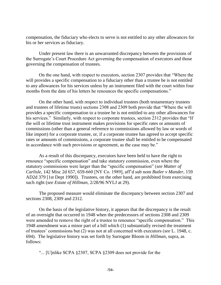compensation, the fiduciary who elects to serve is not entitled to any other allowances for his or her services as fiduciary.

Under present law there is an unwarranted discrepancy between the provisions of the Surrogate's Court Procedure Act governing the compensation of executors and those governing the compensation of trustees.

On the one hand, with respect to executors, section 2307 provides that "Where the will provides a specific compensation to a fiduciary other than a trustee he is not entitled to any allowances for his services unless by an instrument filed with the court within four months from the date of his letters he renounces the specific compensations."

On the other hand, with respect to individual trustees (both testamentary trustees and trustees of lifetime trusts) sections 2308 and 2309 both provide that "Where the will provides a specific compensation to a trustee he is not entitled to any other allowances for his services." Similarly, with respect to corporate trustees, section 2312 provides that "If the will or lifetime trust instrument makes provisions for specific rates or amounts of commissions (other than a general reference to commissions allowed by law or words of like import) for a corporate trustee, or, if a corporate trustee has agreed to accept specific rates or amounts of commissions, a corporate trustee shall be entitled to be compensated in accordance with such provisions or agreement, as the case may be."

As a result of this discrepancy, executors have been held to have the right to renounce "specific compensation" and take statutory commission, even where the statutory commissions were larger than the "specific compensation" (*see Matter of Carlisle*, 142 Misc 2d 657, 659-660 [NY Co. 1989], aff'd sub nom *Butler v Mander*, 159 AD2d 379 [1st Dept 1990]). Trustees, on the other hand, are prohibited from exercising such right (*see Estate of Hillman*, 2/28/96 NYLJ at 29).

The proposed measure would eliminate the discrepancy between section 2307 and sections 2308, 2309 and 2312.

On the basis of the legislative history, it appears that the discrepancy is the result of an oversight that occurred in 1948 when the predecessors of sections 2308 and 2309 were amended to remove the right of a trustee to renounce "specific compensation." This 1948 amendment was a minor part of a bill which (1) substantially revised the treatment of trustees' commissions but (2) was not at all concerned with executors (*see* L. 1948, c. 694). The legislative history was set forth by Surrogate Bloom in *Hillman*, supra, as follows:

"... [U]nlike SCPA §2307, SCPA §2309 does not provide for the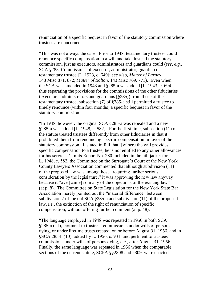renunciation of a specific bequest in favor of the statutory commission where trustees are concerned.

"This was not always the case. Prior to 1948, testamentary trustees could renounce specific compensation in a will and take instead the statutory commission, just as executors, administrators and guardians could (*see, e.g.*, SCA §285, Commissions of executor, administrator, guardian or testamentary trustee [L. 1923, c. 649]; *see also*, *Matter of Larney*, 148 Misc 871, 872; *Matter of Bolton*, 143 Misc 769, 771). Even when the SCA was amended in 1943 and §285-a was added [L. 1943, c. 694], thus separating the provisions for the commissions of the other fiduciaries (executors, administrators and guardians [§285]) from those of the testamentary trustee, subsection (7) of §285-a still permitted a trustee to timely renounce (within four months) a specific bequest in favor of the statutory commission.

"In 1948, however, the original SCA §285-a was repealed and a new §285-a was added [L. 1948, c. 582]. For the first time, subsection (11) of the statute treated trustees differently from other fiduciaries in that it prohibited them from renouncing specific compensation in favor of the statutory commission. It stated in full that '[w]here the will provides a specific compensation to a trustee, he is not entitled to any other allowances for his services.' In its Report No. 280 included in the bill jacket for L. 1948, c. 582, the Committee on the Surrogate's Court of the New York County Lawyers Association commented that although subdivision (11) of the proposed law was among those "requiring further serious consideration by the legislature," it was approving the new law anyway because it "over[came] so many of the objections of the existing law" (at p. 8). The Committee on State Legislation for the New York State Bar Association merely pointed out the "material difference" between subdivision 7 of the old SCA §285-a and subdivision (11) of the proposed law, *i.e.*, the extinction of the right of renunciation of specific compensation, without offering further comment (at p. 48).

"The language employed in 1948 was repeated in 1956 in both SCA §285-a (11), pertinent to trustees' commissions under wills of persons dying, or under lifetime trusts created, on or before August 31, 1956, and in §SCA 285-b (10), added by L. 1956, c. 931, and pertinent to trustees' commissions under wills of persons dying, etc., after August 31, 1956. Finally, the same language was repeated in 1966 when the comparable sections of the current statute, SCPA §§2308 and 2309, were enacted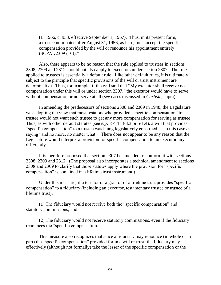(L. 1966, c. 953, effective September 1, 1967). Thus, in its present form, a trustee nominated after August 31, 1956, as here, must accept the specific compensation provided by the will or renounce his appointment entirely  $(SCPA \, \S2309 \, (10))$ ."

Also, there appears to be no reason that the rule applied to trustees in sections 2308, 2309 and 2312 should not also apply to executors under section 2307. The rule applied to trustees is essentially a default rule. Like other default rules, it is ultimately subject to the principle that specific provisions of the will or trust instrument are determinative. Thus, for example, if the will said that "My executor shall receive no compensation under this will or under section 2307," the executor would have to serve without compensation or not serve at all (*see* cases discussed in *Carlisle*, supra).

In amending the predecessors of sections 2308 and 2309 in 1948, the Legislature was adopting the view that most testators who provided "specific compensation" to a trustee would not want such trustee to get any more compensation for serving as trustee. Thus, as with other default statutes (*see e.g*. EPTL 3-3.3 or 5-1.4), a will that provides "specific compensation" to a trustee was being legislatively construed — in this case as saying "and no more, no matter what." There does not appear to be any reason that the Legislature would interpret a provision for specific compensation to an executor any differently.

It is therefore proposed that section 2307 be amended to conform it with sections 2308, 2309 and 2312. (The proposal also incorporates a technical amendment to sections 2308 and 2309 to clarify that those statutes apply where the provision for "specific compensation" is contained in a lifetime trust instrument.)

Under this measure, if a testator or a grantor of a lifetime trust provides "specific compensation" to a fiduciary (including an executor, testamentary trustee or trustee of a lifetime trust):

(1) The fiduciary would not receive both the "specific compensation" and statutory commissions; and

(2) The fiduciary would not receive statutory commissions, even if the fiduciary renounces the "specific compensation."

This measure also recognizes that since a fiduciary may renounce (in whole or in part) the "specific compensation" provided for in a will or trust, the fiduciary may effectively (although not formally) take the lesser of the specific compensation or the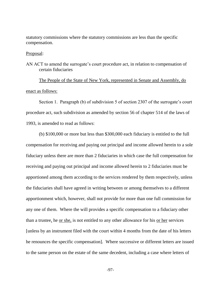statutory commissions where the statutory commissions are less than the specific compensation.

Proposal:

AN ACT to amend the surrogate's court procedure act, in relation to compensation of certain fiduciaries

The People of the State of New York, represented in Senate and Assembly, do enact as follows:

Section 1. Paragraph (b) of subdivision 5 of section 2307 of the surrogate's court procedure act, such subdivision as amended by section 56 of chapter 514 of the laws of 1993, is amended to read as follows:

(b) \$100,000 or more but less than \$300,000 each fiduciary is entitled to the full compensation for receiving and paying out principal and income allowed herein to a sole fiduciary unless there are more than 2 fiduciaries in which case the full compensation for receiving and paying out principal and income allowed herein to 2 fiduciaries must be apportioned among them according to the services rendered by them respectively, unless the fiduciaries shall have agreed in writing between or among themselves to a different apportionment which, however, shall not provide for more than one full commission for any one of them. Where the will provides a specific compensation to a fiduciary other than a trustee, he <u>or she</u>, is not entitled to any other allowance for his <u>or her</u> services [unless by an instrument filed with the court within 4 months from the date of his letters he renounces the specific compensation]. Where successive or different letters are issued to the same person on the estate of the same decedent, including a case where letters of

-97-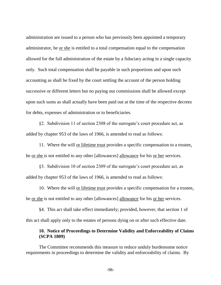administration are issued to a person who has previously been appointed a temporary administrator, he or she is entitled to a total compensation equal to the compensation allowed for the full administration of the estate by a fiduciary acting in a single capacity only. Such total compensation shall be payable in such proportions and upon such accounting as shall be fixed by the court settling the account of the person holding successive or different letters but no paying out commissions shall be allowed except upon such sums as shall actually have been paid out at the time of the respective decrees for debts, expenses of administration or to beneficiaries.

§2. Subdivision 11 of section 2308 of the surrogate's court procedure act, as added by chapter 953 of the laws of 1966, is amended to read as follows:

11. Where the will or lifetime trust provides a specific compensation to a trustee, he or she is not entitled to any other [allowances] allowance for his or her services.

§3. Subdivision 10 of section 2309 of the surrogate's court procedure act, as added by chapter 953 of the laws of 1966, is amended to read as follows:

10. Where the will or lifetime trust provides a specific compensation for a trustee, he <u>or she</u> is not entitled to any other [allowances] allowance for his <u>or her</u> services.

§4. This act shall take effect immediately; provided, however, that section 1 of this act shall apply only to the estates of persons dying on or after such effective date.

## **10. Notice of Proceedings to Determine Validity and Enforceability of Claims (SCPA 1809)**

The Committee recommends this measure to reduce unduly burdensome notice requirements in proceedings to determine the validity and enforceability of claims. By

-98-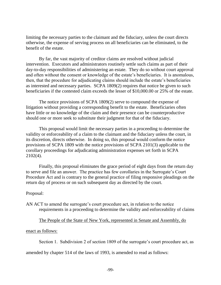limiting the necessary parties to the claimant and the fiduciary, unless the court directs otherwise, the expense of serving process on all beneficiaries can be eliminated, to the benefit of the estate.

By far, the vast majority of creditor claims are resolved without judicial intervention. Executors and administrators routinely settle such claims as part of their day-to-day responsibilities of administering an estate. They do so without court approval and often without the consent or knowledge of the estate's beneficiaries. It is anomalous, then, that the procedure for adjudicating claims should include the estate's beneficiaries as interested and necessary parties. SCPA 1809(2) requires that notice be given to such beneficiaries if the contested claim exceeds the lesser of \$10,000.00 or 25% of the estate.

The notice provisions of SCPA 1809(2) serve to compound the expense of litigation without providing a corresponding benefit to the estate. Beneficiaries often have little or no knowledge of the claim and their presence can be counterproductive should one or more seek to substitute their judgment for that of the fiduciary.

This proposal would limit the necessary parties in a proceeding to determine the validity or enforceability of a claim to the claimant and the fiduciary unless the court, in its discretion, directs otherwise. In doing so, this proposal would conform the notice provisions of SCPA 1809 with the notice provisions of SCPA 2101(3) applicable to the corollary proceedings for adjudicating administration expenses set forth in SCPA 2102(4).

Finally, this proposal eliminates the grace period of eight days from the return day to serve and file an answer. The practice has few corollaries in the Surrogate's Court Procedure Act and is contrary to the general practice of filing responsive pleadings on the return day of process or on such subsequent day as directed by the court.

### Proposal:

AN ACT to amend the surrogate's court procedure act, in relation to the notice requirements in a proceeding to determine the validity and enforceability of claims

The People of the State of New York, represented in Senate and Assembly, do

#### enact as follows:

Section 1. Subdivision 2 of section 1809 of the surrogate's court procedure act, as

amended by chapter 514 of the laws of 1993, is amended to read as follows: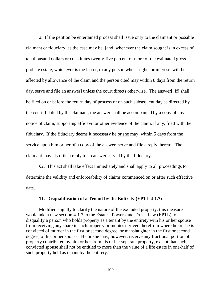2. If the petition be entertained process shall issue only to the claimant or possible claimant or fiduciary, as the case may be, [and, whenever the claim sought is in excess of ten thousand dollars or constitutes twenty-five percent or more of the estimated gross probate estate, whichever is the lesser, to any person whose rights or interests will be affected by allowance of the claim and the person cited may within 8 days from the return day, serve and file an answer] unless the court directs otherwise. The answer[, if] shall be filed on or before the return day of process or on such subsequent day as directed by the court. If filed by the claimant, the answer shall be accompanied by a copy of any notice of claim, supporting affidavit or other evidence of the claim, if any, filed with the fiduciary. If the fiduciary deems it necessary he or she may, within 5 days from the service upon him or her of a copy of the answer, serve and file a reply thereto. The claimant may also file a reply to an answer served by the fiduciary.

§2. This act shall take effect immediately and shall apply to all proceedings to determine the validity and enforceability of claims commenced on or after such effective date.

#### **11. Disqualification of a Tenant by the Entirety (EPTL 4-1.7)**

Modified slightly to clarify the nature of the excluded property, this measure would add a new section 4-1.7 to the Estates, Powers and Trusts Law (EPTL) to disqualify a person who holds property as a tenant by the entirety with his or her spouse from receiving any share in such property or monies derived therefrom where he or she is convicted of murder in the first or second degree, or manslaughter in the first or second degree, of his or her spouse. He or she may, however, receive any fractional portion of property contributed by him or her from his or her separate property, except that such convicted spouse shall not be entitled to more than the value of a life estate in one-half of such property held as tenant by the entirety.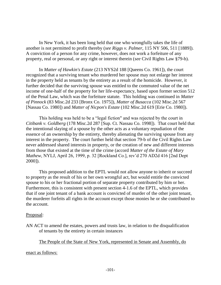In New York, it has been long held that one who wrongfully takes the life of another is not permitted to profit thereby (*see Riggs v. Palmer*, 115 NY 506, 511 [1889]). A conviction of a person for any crime, however, does not work a forfeiture of any property, real or personal, or any right or interest therein (*see* Civil Rights Law §79-b).

In *Matter of Hawkin's Estate* (213 NYS2d 188 [Queens Co. 1961]), the court recognized that a surviving tenant who murdered her spouse may not enlarge her interest in the property held as tenants by the entirety as a result of the homicide. However, it further decided that the surviving spouse was entitled to the commuted value of the net income of one-half of the property for her life-expectancy, based upon former section 512 of the Penal Law, which was the forfeiture statute. This holding was continued in *Matter of Pinnock* (83 Misc.2d 233 [Bronx Co. 1975]), *Matter of Busacca* (102 Misc.2d 567 [Nassau Co. 1980]) and *Matter of Nicpon's Estate* (102 Misc.2d 619 [Erie Co. 1980]).

This holding was held to be a "legal fiction" and was rejected by the court in *Citibank v. Goldberg* (178 Misc.2d 287 [Sup. Ct. Nassau Co. 1998]). That court held that the intentional slaying of a spouse by the other acts as a voluntary repudiation of the essence of an ownership by the entirety, thereby alienating the surviving spouse from any interest in the property. The court further held that section 79-b of the Civil Rights Law never addressed shared interests in property, or the creation of new and different interests from those that existed at the time of the crime (accord *Matter of the Estate of Mary Mathew*, NYLJ, April 26, 1999, p. 32 [Rockland Co.], rev'd 270 AD2d 416 [2nd Dept 2000]).

This proposed addition to the EPTL would not allow anyone to inherit or succeed to property as the result of his or her own wrongful act, but would entitle the convicted spouse to his or her fractional portion of separate property contributed by him or her. Furthermore, this is consistent with present section 4-1.6 of the EPTL, which provides that if one joint tenant of a bank account is convicted of murder of the other joint tenant, the murderer forfeits all rights in the account except those monies he or she contributed to the account.

### Proposal:

AN ACT to amend the estates, powers and trusts law, in relation to the disqualification of tenants by the entirety in certain instances

The People of the State of New York, represented in Senate and Assembly, do

### enact as follows: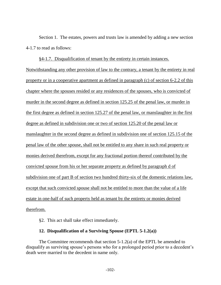Section 1. The estates, powers and trusts law is amended by adding a new section 4-1.7 to read as follows:

§4-1.7. Disqualification of tenant by the entirety in certain instances. Notwithstanding any other provision of law to the contrary, a tenant by the entirety in real property or in a cooperative apartment as defined in paragraph (c) of section 6-2.2 of this chapter where the spouses resided or any residences of the spouses, who is convicted of murder in the second degree as defined in section 125.25 of the penal law, or murder in the first degree as defined in section 125.27 of the penal law, or manslaughter in the first degree as defined in subdivision one or two of section 125.20 of the penal law or manslaughter in the second degree as defined in subdivision one of section 125.15 of the penal law of the other spouse, shall not be entitled to any share in such real property or monies derived therefrom, except for any fractional portion thereof contributed by the convicted spouse from his or her separate property as defined by paragraph d of subdivision one of part B of section two hundred thirty-six of the domestic relations law, except that such convicted spouse shall not be entitled to more than the value of a life estate in one-half of such property held as tenant by the entirety or monies derived therefrom.

§2. This act shall take effect immediately.

### **12. Disqualification of a Surviving Spouse (EPTL 5-1.2(a))**

The Committee recommends that section 5-1.2(a) of the EPTL be amended to disqualify as surviving spouse's persons who for a prolonged period prior to a decedent's death were married to the decedent in name only.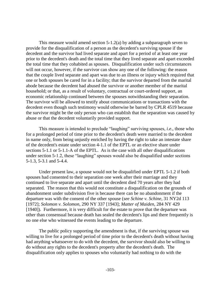This measure would amend section 5-1.2(a) by adding a subparagraph seven to provide for the disqualification of a person as the decedent's surviving spouse if the decedent and the survivor had lived separate and apart for a period of at least one year prior to the decedent's death and the total time that they lived separate and apart exceeded the total time that they cohabited as spouses. Disqualification under such circumstances will not occur, however, if the survivor can show any one of the following: the reason that the couple lived separate and apart was due to an illness or injury which required that one or both spouses be cared for in a facility; that the survivor departed from the marital abode because the decedent had abused the survivor or another member of the marital household; or that, as a result of voluntary, contractual or court-ordered support, an economic relationship continued between the spouses notwithstanding their separation. The survivor will be allowed to testify about communications or transactions with the decedent even though such testimony would otherwise be barred by CPLR 4519 because the survivor might be the only person who can establish that the separation was caused by abuse or that the decedent voluntarily provided support.

This measure is intended to preclude "laughing" surviving spouses, *i.e*., those who for a prolonged period of time prior to the decedent's death were married to the decedent in name only, from being unjustly enriched by having the right to take an intestate share of the decedent's estate under section 4-1.1 of the EPTL or an elective share under sections 5-1.1 or 5-1.1-A of the EPTL. As is the case with all other disqualifications under section 5-1.2, these "laughing" spouses would also be disqualified under sections 5-1.3, 5-3.1 and 5-4.4.

Under present law, a spouse would not be disqualified under EPTL 5-1.2 if both spouses had consented to their separation one week after their marriage and they continued to live separate and apart until the decedent died 70 years after they had separated. The reason that this would not constitute a disqualification on the grounds of abandonment under subdivision five is because there can be no abandonment if the departure was with the consent of the other spouse (*see Schine v. Schine*, 31 NY2d 113 [1972]; *Solomon v. Solomon*, 290 NY 337 [1943]; *Matter of Maiden*, 284 NY 429 [1940]). Furthermore, it is very difficult for the estate to prove that the departure was other than consensual because death has sealed the decedent's lips and there frequently is no one else who witnessed the events leading to the departure.

The public policy supporting the amendment is that, if the surviving spouse was willing to live for a prolonged period of time prior to the decedent's death without having had anything whatsoever to do with the decedent, the survivor should also be willing to do without any rights to the decedent's property after the decedent's death. The disqualification only applies to spouses who voluntarily had nothing to do with the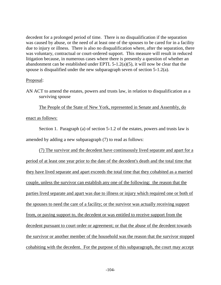decedent for a prolonged period of time. There is no disqualification if the separation was caused by abuse, or the need of at least one of the spouses to be cared for in a facility due to injury or illness. There is also no disqualification where, after the separation, there was voluntary, contractual or court-ordered support. This measure will result in reduced litigation because, in numerous cases where there is presently a question of whether an abandonment can be established under EPTL 5-1.2(a)(5), it will now be clear that the spouse is disqualified under the new subparagraph seven of section 5-1.2(a).

#### Proposal:

AN ACT to amend the estates, powers and trusts law, in relation to disqualification as a surviving spouse

The People of the State of New York, represented in Senate and Assembly, do

#### enact as follows:

Section 1. Paragraph (a) of section 5-1.2 of the estates, powers and trusts law is amended by adding a new subparagraph (7) to read as follows:

(7) The survivor and the decedent have continuously lived separate and apart for a period of at least one year prior to the date of the decedent's death and the total time that they have lived separate and apart exceeds the total time that they cohabited as a married couple, unless the survivor can establish any one of the following: the reason that the parties lived separate and apart was due to illness or injury which required one or both of the spouses to need the care of a facility; or the survivor was actually receiving support from, or paying support to, the decedent or was entitled to receive support from the decedent pursuant to court order or agreement; or that the abuse of the decedent towards the survivor or another member of the household was the reason that the survivor stopped cohabiting with the decedent. For the purpose of this subparagraph, the court may accept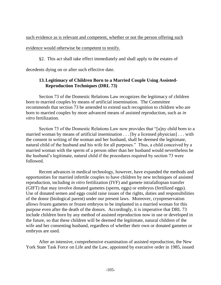such evidence as is relevant and competent, whether or not the person offering such

## evidence would otherwise be competent to testify.

§2. This act shall take effect immediately and shall apply to the estates of

decedents dying on or after such effective date.

# **13.Legitimacy of Children Born to a Married Couple Using Assisted-Reproduction Techniques (DRL 73)**

Section 73 of the Domestic Relations Law recognizes the legitimacy of children born to married couples by means of artificial insemination. The Committee recommends that section 73 be amended to extend such recognition to children who are born to married couples by more advanced means of assisted reproduction, such as *in vitro* fertilization.

Section 73 of the Domestic Relations Law now provides that "[a]ny child born to a married woman by means of artificial insemination . . . [by a licensed physician] . . . with the consent in writing of the woman and her husband, shall be deemed the legitimate, natural child of the husband and his wife for all purposes." Thus, a child conceived by a married woman with the sperm of a person other than her husband would nevertheless be the husband's legitimate, natural child if the procedures required by section 73 were followed.

Recent advances in medical technology, however, have expanded the methods and opportunities for married infertile couples to have children by new techniques of assisted reproduction, including *in vitro* fertilization (IVF) and gamete intrafallopian transfer (GIFT) that may involve donated gametes (sperm, eggs) or embryos (fertilized eggs). Use of donated semen and eggs could raise issues of the rights, duties and responsibilities of the donor (biological parent) under our present laws. Moreover, cryopreservation allows frozen gametes or frozen embryos to be implanted in a married woman for this purpose even after the death of the donors. Accordingly, it is imperative that DRL 73 include children born by any method of assisted reproduction now in use or developed in the future, so that these children will be deemed the legitimate, natural children of the wife and her consenting husband, regardless of whether their own or donated gametes or embryos are used.

After an intensive, comprehensive examination of assisted reproduction, the New York State Task Force on Life and the Law, appointed by executive order in 1985, issued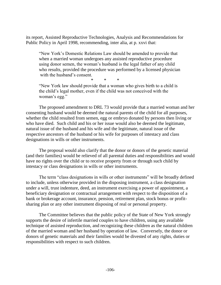its report, Assisted Reproductive Technologies, Analysis and Recommendations for Public Policy in April 1998, recommending, inter alia, at p. xxvi that:

"New York's Domestic Relations Law should be amended to provide that when a married woman undergoes any assisted reproductive procedure using donor semen, the woman's husband is the legal father of any child who results, provided the procedure was performed by a licensed physician with the husband's consent.

\* \* \*

"New York law should provide that a woman who gives birth to a child is the child's legal mother, even if the child was not conceived with the woman's egg."

The proposed amendment to DRL 73 would provide that a married woman and her consenting husband would be deemed the natural parents of the child for all purposes, whether the child resulted from semen, egg or embryo donated by persons then living or who have died. Such child and his or her issue would also be deemed the legitimate, natural issue of the husband and his wife and the legitimate, natural issue of the respective ancestors of the husband or his wife for purposes of intestacy and class designations in wills or other instruments.

The proposal would also clarify that the donor or donors of the genetic material (and their families) would be relieved of all parental duties and responsibilities and would have no rights over the child or to receive property from or through such child by intestacy or class designations in wills or other instruments.

The term "class designations in wills or other instruments" will be broadly defined to include, unless otherwise provided in the disposing instrument, a class designation under a will, trust indenture, deed, an instrument exercising a power of appointment, a beneficiary designation or contractual arrangement with respect to the disposition of a bank or brokerage account, insurance, pension, retirement plan, stock bonus or profitsharing plan or any other instrument disposing of real or personal property.

The Committee believes that the public policy of the State of New York strongly supports the desire of infertile married couples to have children, using any available technique of assisted reproduction, and recognizing these children as the natural children of the married woman and her husband by operation of law. Conversely, the donor or donors of genetic materials and their families would be divested of any rights, duties or responsibilities with respect to such children.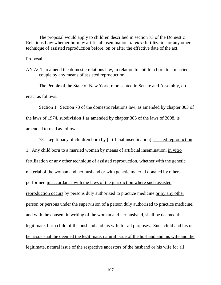The proposal would apply to children described in section 73 of the Domestic Relations Law whether born by artificial insemination, *in vitro* fertilization or any other technique of assisted reproduction before, on or after the effective date of the act.

#### Proposal:

AN ACT to amend the domestic relations law, in relation to children born to a married couple by any means of assisted reproduction

The People of the State of New York, represented in Senate and Assembly, do enact as follows:

Section 1. Section 73 of the domestic relations law, as amended by chapter 303 of the laws of 1974, subdivision 1 as amended by chapter 305 of the laws of 2008, is amended to read as follows:

73. Legitimacy of children born by [artificial insemination] assisted reproduction.

1. Any child born to a married woman by means of artificial insemination, in vitro fertilization or any other technique of assisted reproduction, whether with the genetic material of the woman and her husband or with genetic material donated by others, performed in accordance with the laws of the jurisdiction where such assisted reproduction occurs by persons duly authorized to practice medicine or by any other person or persons under the supervision of a person duly authorized to practice medicine, and with the consent in writing of the woman and her husband, shall be deemed the legitimate, birth child of the husband and his wife for all purposes. Such child and his or her issue shall be deemed the legitimate, natural issue of the husband and his wife and the legitimate, natural issue of the respective ancestors of the husband or his wife for all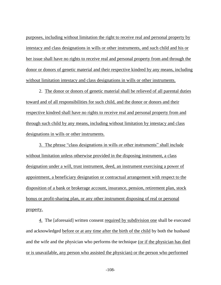purposes, including without limitation the right to receive real and personal property by intestacy and class designations in wills or other instruments, and such child and his or her issue shall have no rights to receive real and personal property from and through the donor or donors of genetic material and their respective kindred by any means, including without limitation intestacy and class designations in wills or other instruments.

2. The donor or donors of genetic material shall be relieved of all parental duties toward and of all responsibilities for such child, and the donor or donors and their respective kindred shall have no rights to receive real and personal property from and through such child by any means, including without limitation by intestacy and class designations in wills or other instruments.

3. The phrase "class designations in wills or other instruments" shall include without limitation unless otherwise provided in the disposing instrument, a class designation under a will, trust instrument, deed, an instrument exercising a power of appointment, a beneficiary designation or contractual arrangement with respect to the disposition of a bank or brokerage account, insurance, pension, retirement plan, stock bonus or profit-sharing plan, or any other instrument disposing of real or personal property.

4. The [aforesaid] written consent required by subdivision one shall be executed and acknowledged before or at any time after the birth of the child by both the husband and the wife and the physician who performs the technique (or if the physician has died or is unavailable, any person who assisted the physician) or the person who performed

-108-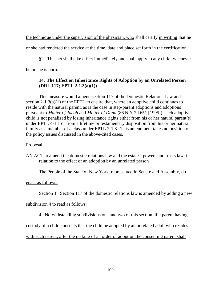the technique under the supervision of the physician, who shall certify in writing that he

or she had rendered the service at the time, date and place set forth in the certification.

§2. This act shall take effect immediately and shall apply to any child, whenever he or she is born.

## **14. The Effect on Inheritance Rights of Adoption by an Unrelated Person (DRL 117; EPTL 2-1.3(a)(1))**

This measure would amend section 117 of the Domestic Relations Law and section 2-1.3(a)(1) of the EPTL to ensure that, where an adoptive child continues to reside with the natural parent, as is the case in step-parent adoptions and adoptions pursuant to *Matter of Jacob* and *Matter of Dana* (86 N.Y.2d 651 [1995]), such adoptive child is not penalized by losing inheritance rights either from his or her natural parent(s) under EPTL 4-1.1 or from a lifetime or testamentary disposition from his or her natural family as a member of a class under EPTL 2-1.3. This amendment takes no position on the policy issues discussed in the above-cited cases.

## Proposal:

AN ACT to amend the domestic relations law and the estates, powers and trusts law, in relation to the effect of an adoption by an unrelated person

# The People of the State of New York, represented in Senate and Assembly, do

## enact as follows:

Section 1. Section 117 of the domestic relations law is amended by adding a new

subdivision 4 to read as follows:

4. Notwithstanding subdivisions one and two of this section, if a parent having

custody of a child consents that the child be adopted by an unrelated adult who resides

with such parent, after the making of an order of adoption the consenting parent shall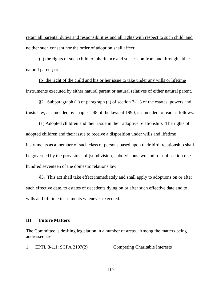retain all parental duties and responsibilities and all rights with respect to such child, and neither such consent nor the order of adoption shall affect:

(a) the rights of such child to inheritance and succession from and through either natural parent; or

(b) the right of the child and his or her issue to take under any wills or lifetime instruments executed by either natural parent or natural relatives of either natural parent.

§2. Subparagraph (1) of paragraph (a) of section 2-1.3 of the estates, powers and trusts law, as amended by chapter 248 of the laws of 1990, is amended to read as follows:

(1) Adopted children and their issue in their adoptive relationship. The rights of adopted children and their issue to receive a disposition under wills and lifetime instruments as a member of such class of persons based upon their birth relationship shall be governed by the provisions of [subdivision] subdivisions two and four of section one hundred seventeen of the domestic relations law.

§3. This act shall take effect immediately and shall apply to adoptions on or after such effective date, to estates of decedents dying on or after such effective date and to wills and lifetime instruments whenever executed.

#### **III. Future Matters**

The Committee is drafting legislation in a number of areas. Among the matters being addressed are:

1. EPTL 8-1.1; SCPA 2107(2) Competing Charitable Interests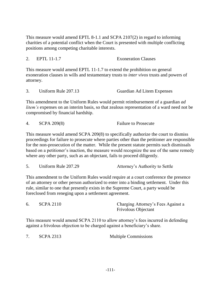This measure would amend EPTL 8-1.1 and SCPA 2107(2) in regard to informing charities of a potential conflict when the Court is presented with multiple conflicting positions among competing charitable interests.

2. EPTL 11-1.7 Exoneration Clauses

This measure would amend EPTL 11-1.7 to extend the prohibition on general exoneration clauses in wills and testamentary trusts to *inter vivos* trusts and powers of attorney.

3. Uniform Rule 207.13 Guardian Ad Litem Expenses

This amendment to the Uniform Rules would permit reimbursement of a guardian *ad litem's* expenses on an interim basis, so that zealous representation of a ward need not be compromised by financial hardship.

|  |  | <b>SCPA 209(8)</b> | <b>Failure to Prosecute</b> |
|--|--|--------------------|-----------------------------|
|--|--|--------------------|-----------------------------|

This measure would amend SCPA 209(8) to specifically authorize the court to dismiss proceedings for failure to prosecute where parties other than the petitioner are responsible for the non-prosecution of the matter. While the present statute permits such dismissals based on a petitioner's inaction, the measure would recognize the use of the same remedy where any other party, such as an objectant, fails to proceed diligently.

| Uniform Rule 207.29 | Attorney's Authority to Settle |
|---------------------|--------------------------------|
|                     |                                |

This amendment to the Uniform Rules would require at a court conference the presence of an attorney or other person authorized to enter into a binding settlement. Under this rule, similar to one that presently exists in the Supreme Court, a party would be foreclosed from reneging upon a settlement agreement.

| 6. | <b>SCPA 2110</b> | Charging Attorney's Fees Against a |
|----|------------------|------------------------------------|
|    |                  | <b>Frivolous Objectant</b>         |

This measure would amend SCPA 2110 to allow attorney's fees incurred in defending against a frivolous objection to be charged against a beneficiary's share.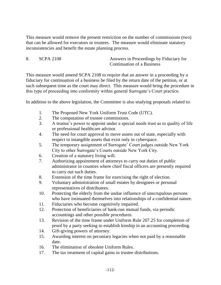This measure would remove the present restriction on the number of commissions (two) that can be allowed for executors or trustees. The measure would eliminate statutory inconsistencies and benefit the estate planning process.

8. SCPA 2108 Answers in Proceedings by Fiduciary for Continuation of a Business

This measure would amend SCPA 2108 to require that an answer in a proceeding by a fiduciary for continuation of a business be filed by the return date of the petition, or at such subsequent time as the court may direct. This measure would bring the procedure in this type of proceeding into conformity within general Surrogate's Court practice.

In addition to the above legislation, the Committee is also studying proposals related to:

- 1. The Proposed New York Uniform Trust Code (UTC).
- 2. The computation of trustee commissions.
- 3. A trustee's power to appoint under a special needs trust as to quality of life or professional healthcare advisor.
- 4. The need for court approval to move assets out of state, especially with respect to intangible assets that exist only in cyberspace.
- 5. The temporary assignment of Surrogate' Court judges outside New York City to other Surrogate's Courts outside New York City.
- 6. Creation of a statutory living will.
- 7. Authorizing appointment of attorneys to carry out duties of public administrator in counties where chief fiscal officers are presently required to carry out such duties.
- 8. Extension of the time frame for exercising the right of election.
- 9. Voluntary administration of small estates by designees or personal representatives of distributees.
- 10. Protecting the elderly from the undue influence of unscrupulous persons who have insinuated themselves into relationships of a confidential nature.
- 11. Fiduciaries who become cognitively impaired.
- 12. Protection of beneficiaries of bank-run mutual funds, via periodic accountings and other possible procedures.
- 13. Revision of the time frame under Uniform Rule 207.25 for completion of proof by a party seeking to establish kinship in an accounting proceeding.
- 14. Gift-giving powers of attorney.
- 15. Awarding interest on pecuniary legacies when not paid by a reasonable date.
- 16. The elimination of obsolete Uniform Rules.
- 17. The tax treatment of capital gains in trustee distributions.